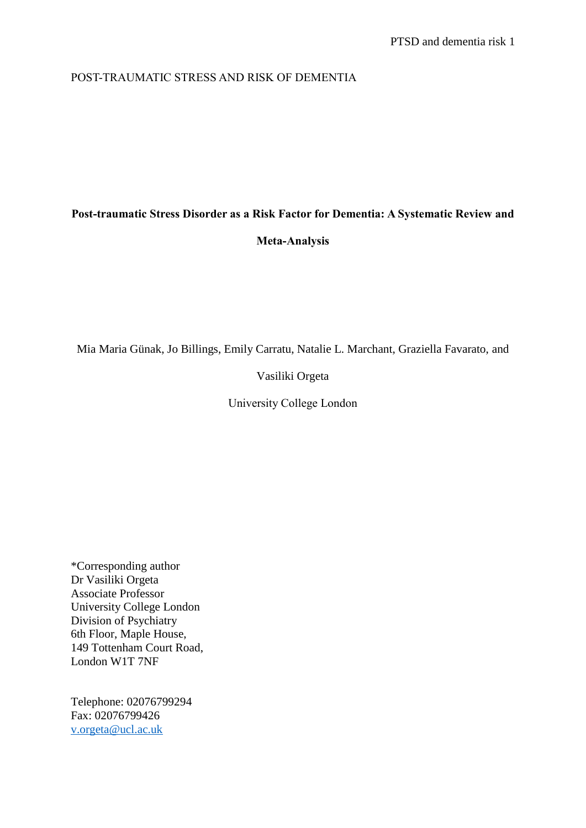## POST-TRAUMATIC STRESS AND RISK OF DEMENTIA

# **Post-traumatic Stress Disorder as a Risk Factor for Dementia: A Systematic Review and**

## **Meta-Analysis**

Mia Maria Günak, Jo Billings, Emily Carratu, Natalie L. Marchant, Graziella Favarato, and

Vasiliki Orgeta

University College London

\*Corresponding author Dr Vasiliki Orgeta Associate Professor University College London Division of Psychiatry 6th Floor, Maple House, 149 Tottenham Court Road, London W1T 7NF

Telephone: 02076799294 Fax: 02076799426 v.orgeta@ucl.ac.uk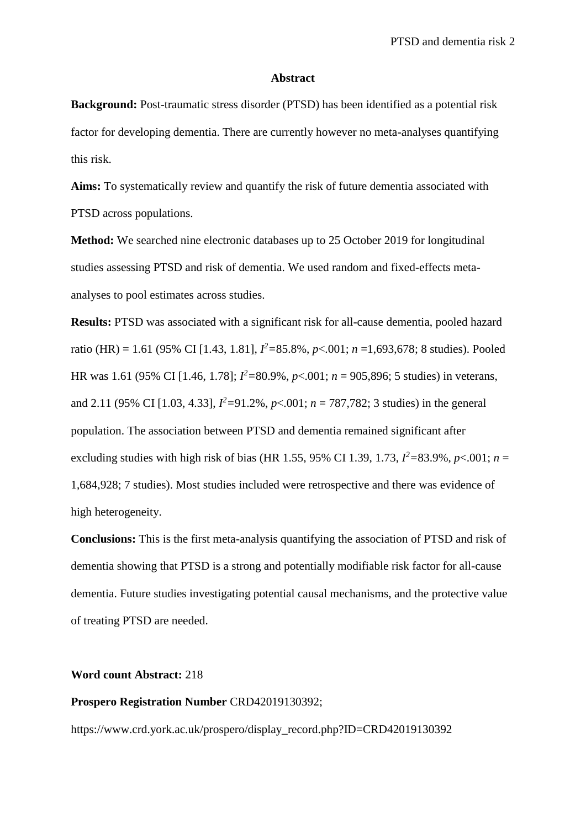#### **Abstract**

**Background:** Post-traumatic stress disorder (PTSD) has been identified as a potential risk factor for developing dementia. There are currently however no meta-analyses quantifying this risk.

**Aims:** To systematically review and quantify the risk of future dementia associated with PTSD across populations.

**Method:** We searched nine electronic databases up to 25 October 2019 for longitudinal studies assessing PTSD and risk of dementia. We used random and fixed-effects metaanalyses to pool estimates across studies.

**Results:** PTSD was associated with a significant risk for all-cause dementia, pooled hazard ratio (HR) = 1.61 (95% CI [1.43, 1.81], *I <sup>2</sup>=*85.8%, *p*<.001; *n* =1,693,678; 8 studies). Pooled HR was 1.61 (95% CI [1.46, 1.78]; *I <sup>2</sup>=*80.9%, *p*<.001; *n* = 905,896; 5 studies) in veterans, and 2.11 (95% CI [1.03, 4.33],  $I^2 = 91.2\%$ ,  $p < .001$ ;  $n = 787,782$ ; 3 studies) in the general population. The association between PTSD and dementia remained significant after excluding studies with high risk of bias (HR 1.55, 95% CI 1.39, 1.73,  $I^2 = 83.9\%$ ,  $p < .001$ ;  $n =$ 1,684,928; 7 studies). Most studies included were retrospective and there was evidence of high heterogeneity.

**Conclusions:** This is the first meta-analysis quantifying the association of PTSD and risk of dementia showing that PTSD is a strong and potentially modifiable risk factor for all-cause dementia. Future studies investigating potential causal mechanisms, and the protective value of treating PTSD are needed.

## **Word count Abstract:** 218

#### **Prospero Registration Number** CRD42019130392;

https://www.crd.york.ac.uk/prospero/display\_record.php?ID=CRD42019130392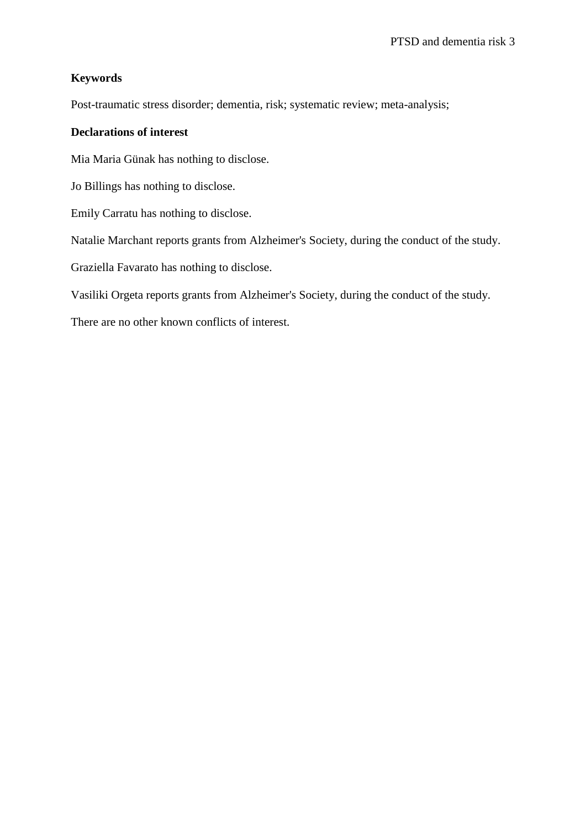# **Keywords**

Post-traumatic stress disorder; dementia, risk; systematic review; meta-analysis;

## **Declarations of interest**

Mia Maria Günak has nothing to disclose.

Jo Billings has nothing to disclose.

Emily Carratu has nothing to disclose.

Natalie Marchant reports grants from Alzheimer's Society, during the conduct of the study.

Graziella Favarato has nothing to disclose.

Vasiliki Orgeta reports grants from Alzheimer's Society, during the conduct of the study.

There are no other known conflicts of interest.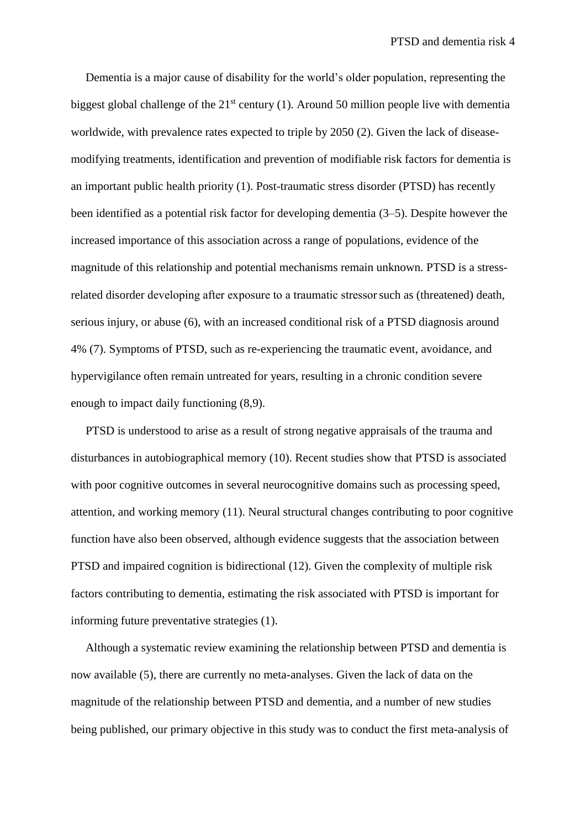Dementia is a major cause of disability for the world's older population, representing the biggest global challenge of the  $21<sup>st</sup>$  century (1). Around 50 million people live with dementia worldwide, with prevalence rates expected to triple by 2050 (2). Given the lack of diseasemodifying treatments, identification and prevention of modifiable risk factors for dementia is an important public health priority (1). Post-traumatic stress disorder (PTSD) has recently been identified as a potential risk factor for developing dementia (3–5). Despite however the increased importance of this association across a range of populations, evidence of the magnitude of this relationship and potential mechanisms remain unknown. PTSD is a stressrelated disorder developing after exposure to a traumatic stressorsuch as (threatened) death, serious injury, or abuse (6), with an increased conditional risk of a PTSD diagnosis around 4% (7). Symptoms of PTSD, such as re-experiencing the traumatic event, avoidance, and hypervigilance often remain untreated for years, resulting in a chronic condition severe enough to impact daily functioning (8,9).

 PTSD is understood to arise as a result of strong negative appraisals of the trauma and disturbances in autobiographical memory (10). Recent studies show that PTSD is associated with poor cognitive outcomes in several neurocognitive domains such as processing speed, attention, and working memory (11). Neural structural changes contributing to poor cognitive function have also been observed, although evidence suggests that the association between PTSD and impaired cognition is bidirectional (12). Given the complexity of multiple risk factors contributing to dementia, estimating the risk associated with PTSD is important for informing future preventative strategies (1).

 Although a systematic review examining the relationship between PTSD and dementia is now available (5), there are currently no meta-analyses. Given the lack of data on the magnitude of the relationship between PTSD and dementia, and a number of new studies being published, our primary objective in this study was to conduct the first meta-analysis of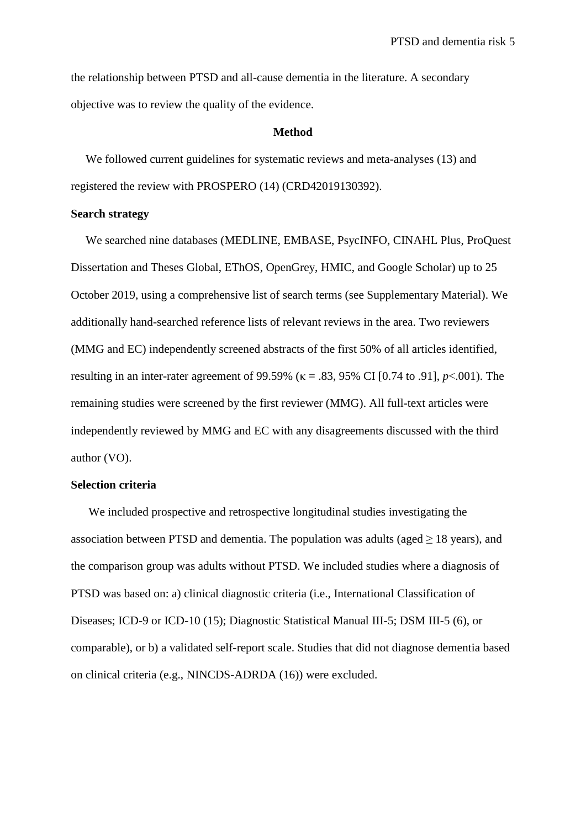the relationship between PTSD and all-cause dementia in the literature. A secondary objective was to review the quality of the evidence.

#### **Method**

We followed current guidelines for systematic reviews and meta-analyses (13) and registered the review with PROSPERO (14) (CRD42019130392).

## **Search strategy**

 We searched nine databases (MEDLINE, EMBASE, PsycINFO, CINAHL Plus, ProQuest Dissertation and Theses Global, EThOS, OpenGrey, HMIC, and Google Scholar) up to 25 October 2019, using a comprehensive list of search terms (see Supplementary Material). We additionally hand-searched reference lists of relevant reviews in the area. Two reviewers (MMG and EC) independently screened abstracts of the first 50% of all articles identified, resulting in an inter-rater agreement of 99.59% (κ = .83, 95% CI [0.74 to .91], *p*<.001). The remaining studies were screened by the first reviewer (MMG). All full-text articles were independently reviewed by MMG and EC with any disagreements discussed with the third author (VO).

## **Selection criteria**

 We included prospective and retrospective longitudinal studies investigating the association between PTSD and dementia. The population was adults (aged  $\geq 18$  years), and the comparison group was adults without PTSD. We included studies where a diagnosis of PTSD was based on: a) clinical diagnostic criteria (i.e., International Classification of Diseases; ICD-9 or ICD-10 (15); Diagnostic Statistical Manual III-5; DSM III-5 (6), or comparable), or b) a validated self-report scale. Studies that did not diagnose dementia based on clinical criteria (e.g., NINCDS-ADRDA (16)) were excluded.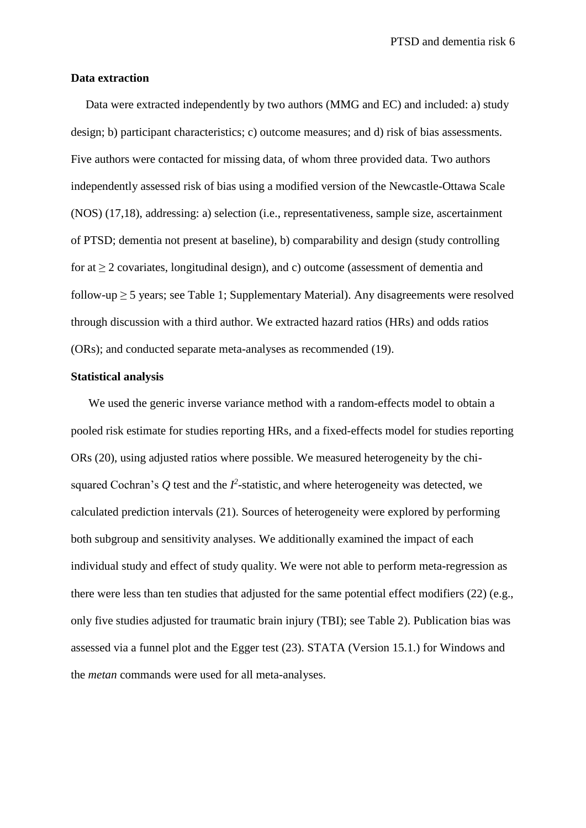### **Data extraction**

Data were extracted independently by two authors (MMG and EC) and included: a) study design; b) participant characteristics; c) outcome measures; and d) risk of bias assessments. Five authors were contacted for missing data, of whom three provided data. Two authors independently assessed risk of bias using a modified version of the Newcastle-Ottawa Scale (NOS) (17,18), addressing: a) selection (i.e., representativeness, sample size, ascertainment of PTSD; dementia not present at baseline), b) comparability and design (study controlling for at  $\geq 2$  covariates, longitudinal design), and c) outcome (assessment of dementia and follow-up  $\geq$  5 years; see Table 1; Supplementary Material). Any disagreements were resolved through discussion with a third author. We extracted hazard ratios (HRs) and odds ratios (ORs); and conducted separate meta-analyses as recommended (19).

## **Statistical analysis**

 We used the generic inverse variance method with a random-effects model to obtain a pooled risk estimate for studies reporting HRs, and a fixed-effects model for studies reporting ORs (20), using adjusted ratios where possible. We measured heterogeneity by the chisquared Cochran's  $Q$  test and the  $I^2$ -statistic, and where heterogeneity was detected, we calculated prediction intervals (21). Sources of heterogeneity were explored by performing both subgroup and sensitivity analyses. We additionally examined the impact of each individual study and effect of study quality. We were not able to perform meta-regression as there were less than ten studies that adjusted for the same potential effect modifiers (22) (e.g., only five studies adjusted for traumatic brain injury (TBI); see Table 2). Publication bias was assessed via a funnel plot and the Egger test (23). STATA (Version 15.1.) for Windows and the *metan* commands were used for all meta-analyses.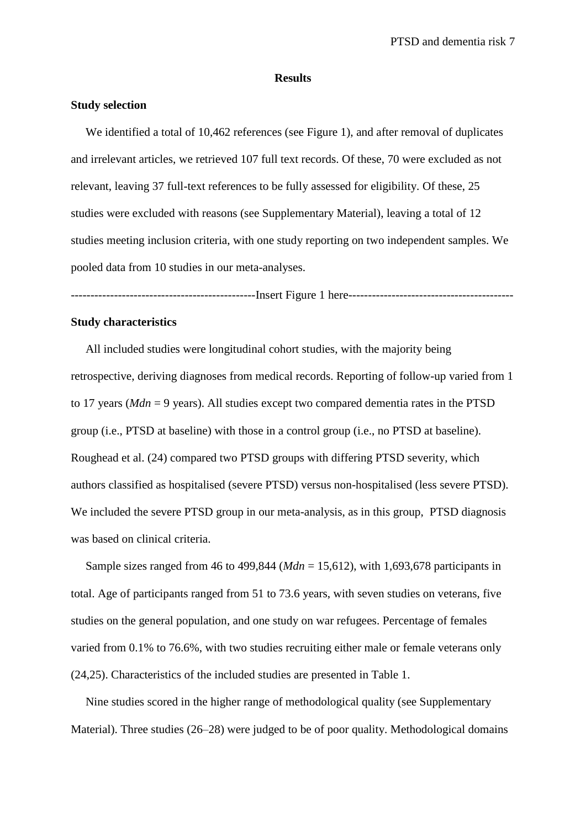#### **Results**

## **Study selection**

 We identified a total of 10,462 references (see Figure 1), and after removal of duplicates and irrelevant articles, we retrieved 107 full text records. Of these, 70 were excluded as not relevant, leaving 37 full-text references to be fully assessed for eligibility. Of these, 25 studies were excluded with reasons (see Supplementary Material), leaving a total of 12 studies meeting inclusion criteria, with one study reporting on two independent samples. We pooled data from 10 studies in our meta-analyses.

-----------------------------------------------Insert Figure 1 here------------------------------------------

### **Study characteristics**

All included studies were longitudinal cohort studies, with the majority being retrospective, deriving diagnoses from medical records. Reporting of follow-up varied from 1 to 17 years (*Mdn* = 9 years). All studies except two compared dementia rates in the PTSD group (i.e., PTSD at baseline) with those in a control group (i.e., no PTSD at baseline). Roughead et al. (24) compared two PTSD groups with differing PTSD severity, which authors classified as hospitalised (severe PTSD) versus non-hospitalised (less severe PTSD). We included the severe PTSD group in our meta-analysis, as in this group, PTSD diagnosis was based on clinical criteria.

 Sample sizes ranged from 46 to 499,844 (*Mdn* = 15,612), with 1,693,678 participants in total. Age of participants ranged from 51 to 73.6 years, with seven studies on veterans, five studies on the general population, and one study on war refugees. Percentage of females varied from 0.1% to 76.6%, with two studies recruiting either male or female veterans only (24,25). Characteristics of the included studies are presented in Table 1.

 Nine studies scored in the higher range of methodological quality (see Supplementary Material). Three studies (26–28) were judged to be of poor quality. Methodological domains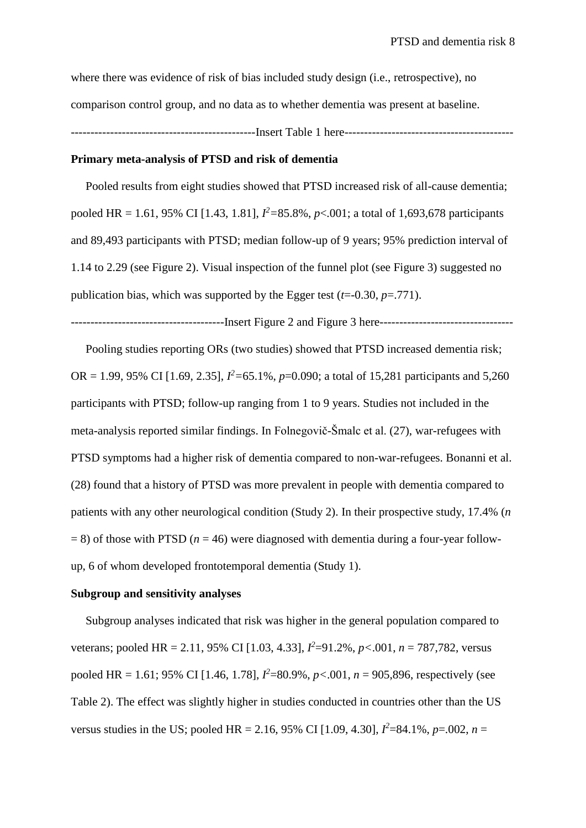where there was evidence of risk of bias included study design (i.e., retrospective), no comparison control group, and no data as to whether dementia was present at baseline. -----------------------------------------------Insert Table 1 here-------------------------------------------

### **Primary meta-analysis of PTSD and risk of dementia**

Pooled results from eight studies showed that PTSD increased risk of all-cause dementia; pooled HR = 1.61, 95% CI [1.43, 1.81], *I <sup>2</sup>=*85.8%, *p*<.001; a total of 1,693,678 participants and 89,493 participants with PTSD; median follow-up of 9 years; 95% prediction interval of 1.14 to 2.29 (see Figure 2). Visual inspection of the funnel plot (see Figure 3) suggested no publication bias, which was supported by the Egger test  $(t=0.30, p=.771)$ .

---------------------------------------Insert Figure 2 and Figure 3 here----------------------------------

 Pooling studies reporting ORs (two studies) showed that PTSD increased dementia risk; OR = 1.99, 95% CI [1.69, 2.35],  $I^2$ =65.1%,  $p$ =0.090; a total of 15,281 participants and 5,260 participants with PTSD; follow-up ranging from 1 to 9 years. Studies not included in the meta-analysis reported similar findings. In Folnegovič-Šmalc et al. (27), war-refugees with PTSD symptoms had a higher risk of dementia compared to non-war-refugees. Bonanni et al. (28) found that a history of PTSD was more prevalent in people with dementia compared to patients with any other neurological condition (Study 2). In their prospective study, 17.4% (*n*  $= 8$ ) of those with PTSD ( $n = 46$ ) were diagnosed with dementia during a four-year followup, 6 of whom developed frontotemporal dementia (Study 1).

### **Subgroup and sensitivity analyses**

Subgroup analyses indicated that risk was higher in the general population compared to veterans; pooled HR = 2.11, 95% CI [1.03, 4.33], *I <sup>2</sup>*=91.2%, *p<*.001, *n* = 787,782, versus pooled HR = 1.61; 95% CI [1.46, 1.78], *I <sup>2</sup>*=80.9%, *p<*.001, *n* = 905,896, respectively (see Table 2). The effect was slightly higher in studies conducted in countries other than the US versus studies in the US; pooled HR = 2.16, 95% CI [1.09, 4.30],  $I^2$ =84.1%,  $p$ =.002,  $n$  =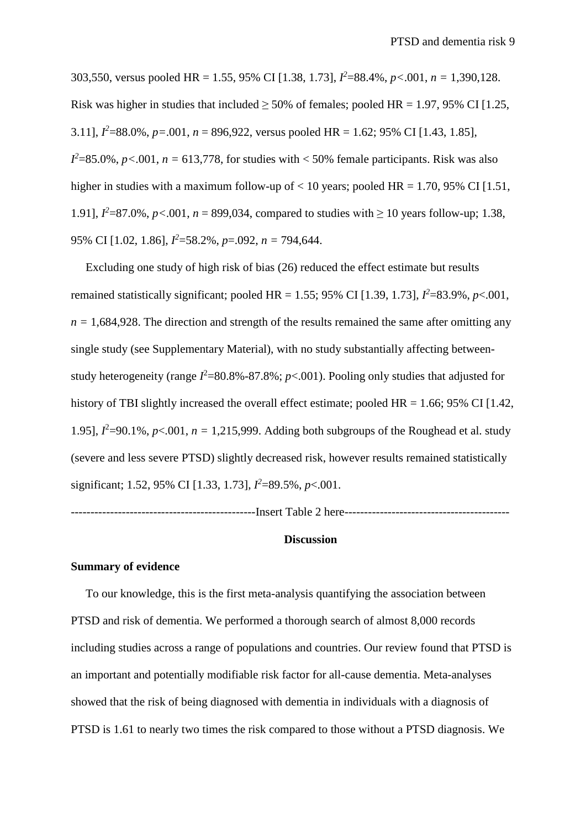303,550, versus pooled HR = 1.55, 95% CI [1.38, 1.73], *I <sup>2</sup>*=88.4%, *p<*.001, *n =* 1,390,128. Risk was higher in studies that included  $>$  50% of females; pooled HR = 1.97, 95% CI [1.25, 3.11],  $I^2$ =88.0%,  $p$ =.001,  $n$  = 896,922, versus pooled HR = 1.62; 95% CI [1.43, 1.85],  $I^2$ =85.0%,  $p$ <.001,  $n = 613,778$ , for studies with < 50% female participants. Risk was also higher in studies with a maximum follow-up of  $< 10$  years; pooled HR = 1.70, 95% CI [1.51, 1.91],  $I^2 = 87.0\%$ ,  $p < .001$ ,  $n = 899,034$ , compared to studies with  $\ge 10$  years follow-up; 1.38, 95% CI [1.02, 1.86], *I <sup>2</sup>*=58.2%, *p*=.092, *n =* 794,644.

 Excluding one study of high risk of bias (26) reduced the effect estimate but results remained statistically significant; pooled HR = 1.55; 95% CI [1.39, 1.73],  $I^2$ =83.9%,  $p$ <.001,  $n = 1,684,928$ . The direction and strength of the results remained the same after omitting any single study (see Supplementary Material), with no study substantially affecting betweenstudy heterogeneity (range  $I^2$ =80.8%-87.8%;  $p$ <.001). Pooling only studies that adjusted for history of TBI slightly increased the overall effect estimate; pooled  $HR = 1.66$ ; 95% CI [1.42, 1.95],  $l^2$ =90.1%,  $p$ <.001,  $n = 1,215,999$ . Adding both subgroups of the Roughead et al. study (severe and less severe PTSD) slightly decreased risk, however results remained statistically significant; 1.52, 95% CI [1.33, 1.73], *I <sup>2</sup>*=89.5%, *p*<.001.

-----------------------------------------------Insert Table 2 here------------------------------------------

### **Discussion**

## **Summary of evidence**

 To our knowledge, this is the first meta-analysis quantifying the association between PTSD and risk of dementia. We performed a thorough search of almost 8,000 records including studies across a range of populations and countries. Our review found that PTSD is an important and potentially modifiable risk factor for all-cause dementia. Meta-analyses showed that the risk of being diagnosed with dementia in individuals with a diagnosis of PTSD is 1.61 to nearly two times the risk compared to those without a PTSD diagnosis. We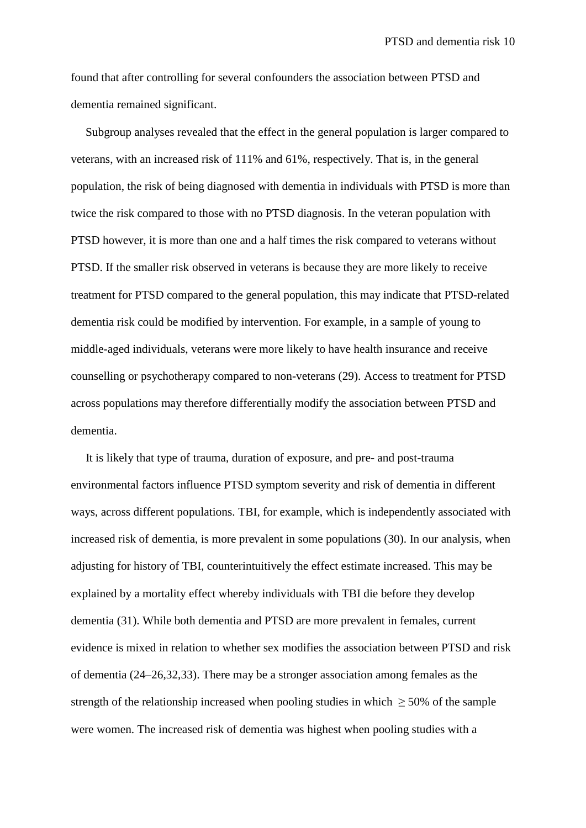found that after controlling for several confounders the association between PTSD and dementia remained significant.

 Subgroup analyses revealed that the effect in the general population is larger compared to veterans, with an increased risk of 111% and 61%, respectively. That is, in the general population, the risk of being diagnosed with dementia in individuals with PTSD is more than twice the risk compared to those with no PTSD diagnosis. In the veteran population with PTSD however, it is more than one and a half times the risk compared to veterans without PTSD. If the smaller risk observed in veterans is because they are more likely to receive treatment for PTSD compared to the general population, this may indicate that PTSD-related dementia risk could be modified by intervention. For example, in a sample of young to middle-aged individuals, veterans were more likely to have health insurance and receive counselling or psychotherapy compared to non-veterans (29). Access to treatment for PTSD across populations may therefore differentially modify the association between PTSD and dementia.

 It is likely that type of trauma, duration of exposure, and pre- and post-trauma environmental factors influence PTSD symptom severity and risk of dementia in different ways, across different populations. TBI, for example, which is independently associated with increased risk of dementia, is more prevalent in some populations (30). In our analysis, when adjusting for history of TBI, counterintuitively the effect estimate increased. This may be explained by a mortality effect whereby individuals with TBI die before they develop dementia (31). While both dementia and PTSD are more prevalent in females, current evidence is mixed in relation to whether sex modifies the association between PTSD and risk of dementia (24–26,32,33). There may be a stronger association among females as the strength of the relationship increased when pooling studies in which  $\geq$  50% of the sample were women. The increased risk of dementia was highest when pooling studies with a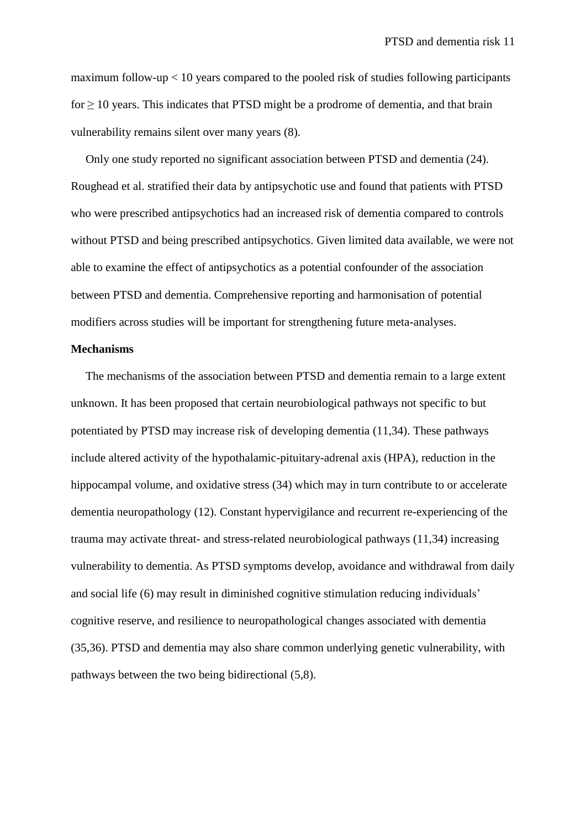maximum follow-up < 10 years compared to the pooled risk of studies following participants  $for \geq 10$  years. This indicates that PTSD might be a prodrome of dementia, and that brain vulnerability remains silent over many years (8).

 Only one study reported no significant association between PTSD and dementia (24). Roughead et al. stratified their data by antipsychotic use and found that patients with PTSD who were prescribed antipsychotics had an increased risk of dementia compared to controls without PTSD and being prescribed antipsychotics. Given limited data available, we were not able to examine the effect of antipsychotics as a potential confounder of the association between PTSD and dementia. Comprehensive reporting and harmonisation of potential modifiers across studies will be important for strengthening future meta-analyses.

## **Mechanisms**

 The mechanisms of the association between PTSD and dementia remain to a large extent unknown. It has been proposed that certain neurobiological pathways not specific to but potentiated by PTSD may increase risk of developing dementia (11,34). These pathways include altered activity of the hypothalamic-pituitary-adrenal axis (HPA), reduction in the hippocampal volume, and oxidative stress (34) which may in turn contribute to or accelerate dementia neuropathology (12). Constant hypervigilance and recurrent re-experiencing of the trauma may activate threat- and stress-related neurobiological pathways (11,34) increasing vulnerability to dementia. As PTSD symptoms develop, avoidance and withdrawal from daily and social life (6) may result in diminished cognitive stimulation reducing individuals' cognitive reserve, and resilience to neuropathological changes associated with dementia (35,36). PTSD and dementia may also share common underlying genetic vulnerability, with pathways between the two being bidirectional (5,8).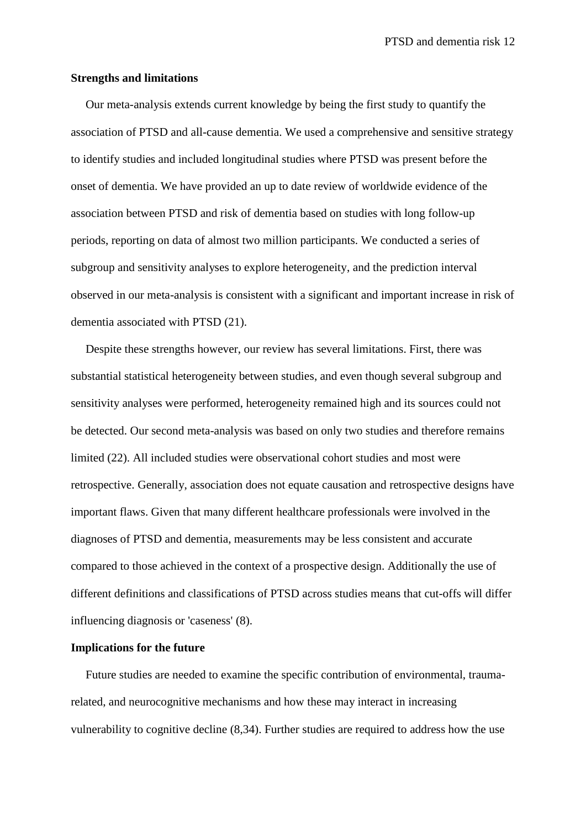### **Strengths and limitations**

Our meta-analysis extends current knowledge by being the first study to quantify the association of PTSD and all-cause dementia. We used a comprehensive and sensitive strategy to identify studies and included longitudinal studies where PTSD was present before the onset of dementia. We have provided an up to date review of worldwide evidence of the association between PTSD and risk of dementia based on studies with long follow-up periods, reporting on data of almost two million participants. We conducted a series of subgroup and sensitivity analyses to explore heterogeneity, and the prediction interval observed in our meta-analysis is consistent with a significant and important increase in risk of dementia associated with PTSD (21).

 Despite these strengths however, our review has several limitations. First, there was substantial statistical heterogeneity between studies, and even though several subgroup and sensitivity analyses were performed, heterogeneity remained high and its sources could not be detected. Our second meta-analysis was based on only two studies and therefore remains limited (22). All included studies were observational cohort studies and most were retrospective. Generally, association does not equate causation and retrospective designs have important flaws. Given that many different healthcare professionals were involved in the diagnoses of PTSD and dementia, measurements may be less consistent and accurate compared to those achieved in the context of a prospective design. Additionally the use of different definitions and classifications of PTSD across studies means that cut-offs will differ influencing diagnosis or 'caseness' (8).

### **Implications for the future**

Future studies are needed to examine the specific contribution of environmental, traumarelated, and neurocognitive mechanisms and how these may interact in increasing vulnerability to cognitive decline (8,34). Further studies are required to address how the use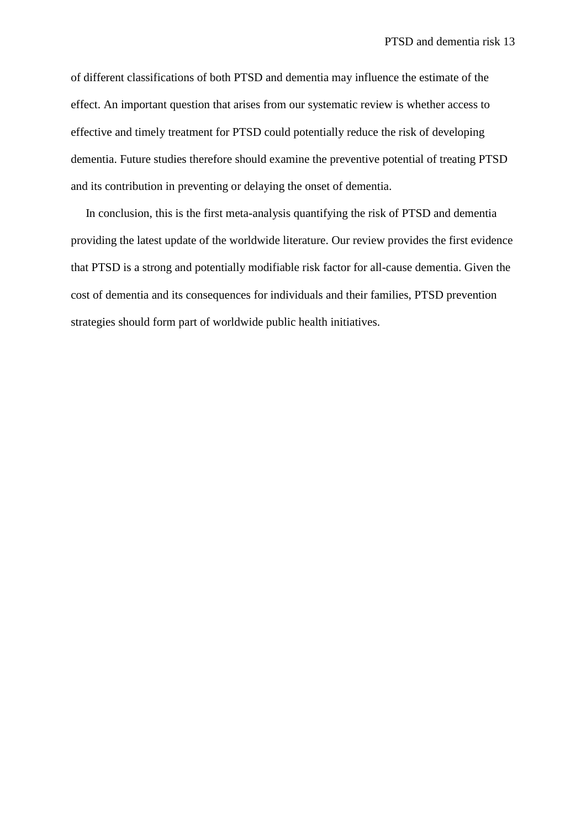of different classifications of both PTSD and dementia may influence the estimate of the effect. An important question that arises from our systematic review is whether access to effective and timely treatment for PTSD could potentially reduce the risk of developing dementia. Future studies therefore should examine the preventive potential of treating PTSD and its contribution in preventing or delaying the onset of dementia.

 In conclusion, this is the first meta-analysis quantifying the risk of PTSD and dementia providing the latest update of the worldwide literature. Our review provides the first evidence that PTSD is a strong and potentially modifiable risk factor for all-cause dementia. Given the cost of dementia and its consequences for individuals and their families, PTSD prevention strategies should form part of worldwide public health initiatives.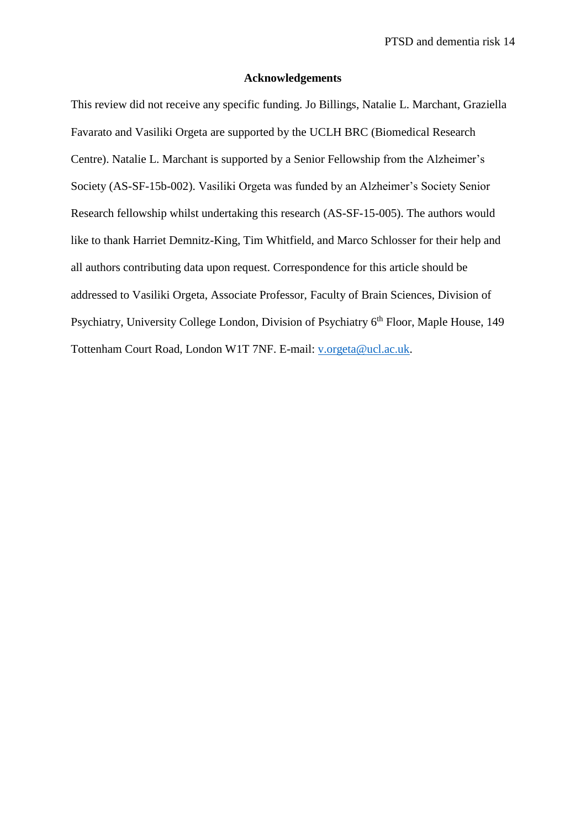### **Acknowledgements**

This review did not receive any specific funding. Jo Billings, Natalie L. Marchant, Graziella Favarato and Vasiliki Orgeta are supported by the UCLH BRC (Biomedical Research Centre). Natalie L. Marchant is supported by a Senior Fellowship from the Alzheimer's Society (AS-SF-15b-002). Vasiliki Orgeta was funded by an Alzheimer's Society Senior Research fellowship whilst undertaking this research (AS-SF-15-005). The authors would like to thank Harriet Demnitz-King, Tim Whitfield, and Marco Schlosser for their help and all authors contributing data upon request. Correspondence for this article should be addressed to Vasiliki Orgeta, Associate Professor, Faculty of Brain Sciences, Division of Psychiatry, University College London, Division of Psychiatry 6<sup>th</sup> Floor, Maple House, 149 Tottenham Court Road, London W1T 7NF. E-mail: [v.orgeta@ucl.ac.uk.](mailto:v.orgeta@ucl.ac.uk)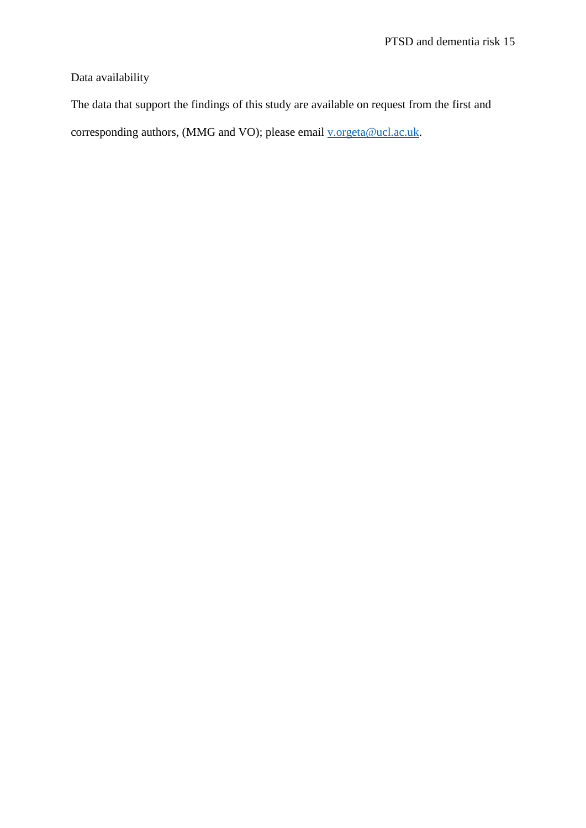Data availability

The data that support the findings of this study are available on request from the first and corresponding authors, (MMG and VO); please email [v.orgeta@ucl.ac.uk.](mailto:v.orgeta@ucl.ac.uk)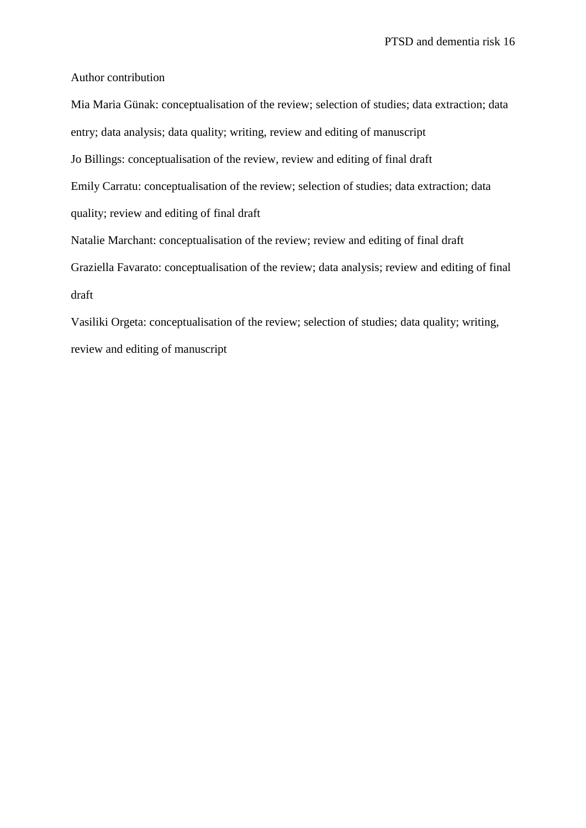Author contribution

Mia Maria Günak: conceptualisation of the review; selection of studies; data extraction; data entry; data analysis; data quality; writing, review and editing of manuscript Jo Billings: conceptualisation of the review, review and editing of final draft Emily Carratu: conceptualisation of the review; selection of studies; data extraction; data quality; review and editing of final draft Natalie Marchant: conceptualisation of the review; review and editing of final draft Graziella Favarato: conceptualisation of the review; data analysis; review and editing of final draft

Vasiliki Orgeta: conceptualisation of the review; selection of studies; data quality; writing, review and editing of manuscript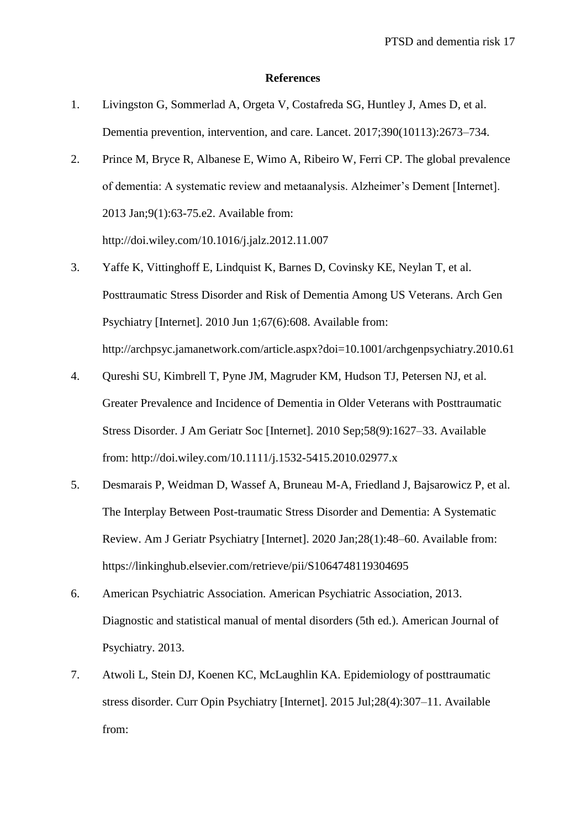#### **References**

- 1. Livingston G, Sommerlad A, Orgeta V, Costafreda SG, Huntley J, Ames D, et al. Dementia prevention, intervention, and care. Lancet. 2017;390(10113):2673–734.
- 2. Prince M, Bryce R, Albanese E, Wimo A, Ribeiro W, Ferri CP. The global prevalence of dementia: A systematic review and metaanalysis. Alzheimer's Dement [Internet]. 2013 Jan;9(1):63-75.e2. Available from: http://doi.wiley.com/10.1016/j.jalz.2012.11.007
- 3. Yaffe K, Vittinghoff E, Lindquist K, Barnes D, Covinsky KE, Neylan T, et al. Posttraumatic Stress Disorder and Risk of Dementia Among US Veterans. Arch Gen Psychiatry [Internet]. 2010 Jun 1;67(6):608. Available from: http://archpsyc.jamanetwork.com/article.aspx?doi=10.1001/archgenpsychiatry.2010.61
- 4. Qureshi SU, Kimbrell T, Pyne JM, Magruder KM, Hudson TJ, Petersen NJ, et al. Greater Prevalence and Incidence of Dementia in Older Veterans with Posttraumatic Stress Disorder. J Am Geriatr Soc [Internet]. 2010 Sep;58(9):1627–33. Available from: http://doi.wiley.com/10.1111/j.1532-5415.2010.02977.x
- 5. Desmarais P, Weidman D, Wassef A, Bruneau M-A, Friedland J, Bajsarowicz P, et al. The Interplay Between Post-traumatic Stress Disorder and Dementia: A Systematic Review. Am J Geriatr Psychiatry [Internet]. 2020 Jan;28(1):48–60. Available from: https://linkinghub.elsevier.com/retrieve/pii/S1064748119304695
- 6. American Psychiatric Association. American Psychiatric Association, 2013. Diagnostic and statistical manual of mental disorders (5th ed.). American Journal of Psychiatry. 2013.
- 7. Atwoli L, Stein DJ, Koenen KC, McLaughlin KA. Epidemiology of posttraumatic stress disorder. Curr Opin Psychiatry [Internet]. 2015 Jul;28(4):307–11. Available from: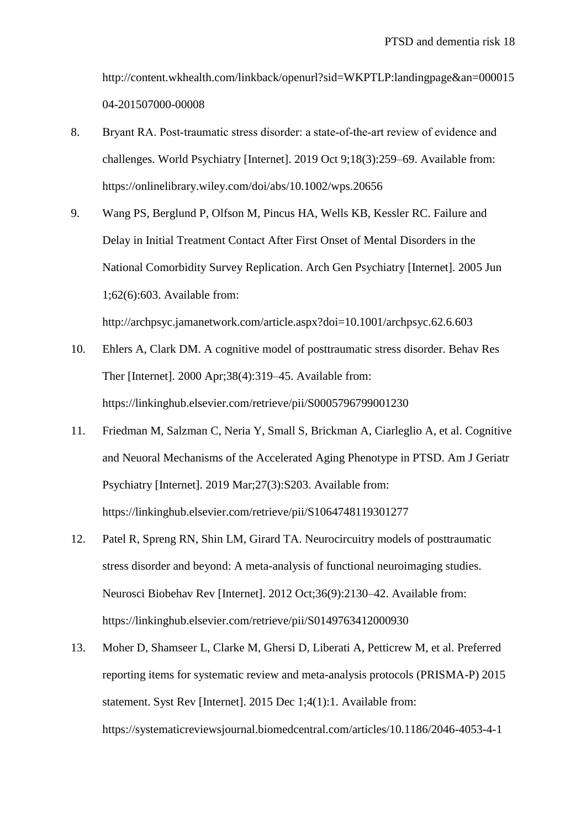http://content.wkhealth.com/linkback/openurl?sid=WKPTLP:landingpage&an=000015 04-201507000-00008

- 8. Bryant RA. Post-traumatic stress disorder: a state-of-the-art review of evidence and challenges. World Psychiatry [Internet]. 2019 Oct 9;18(3):259–69. Available from: https://onlinelibrary.wiley.com/doi/abs/10.1002/wps.20656
- 9. Wang PS, Berglund P, Olfson M, Pincus HA, Wells KB, Kessler RC. Failure and Delay in Initial Treatment Contact After First Onset of Mental Disorders in the National Comorbidity Survey Replication. Arch Gen Psychiatry [Internet]. 2005 Jun 1;62(6):603. Available from: http://archpsyc.jamanetwork.com/article.aspx?doi=10.1001/archpsyc.62.6.603
- 10. Ehlers A, Clark DM. A cognitive model of posttraumatic stress disorder. Behav Res Ther [Internet]. 2000 Apr;38(4):319–45. Available from: https://linkinghub.elsevier.com/retrieve/pii/S0005796799001230
- 11. Friedman M, Salzman C, Neria Y, Small S, Brickman A, Ciarleglio A, et al. Cognitive and Neuoral Mechanisms of the Accelerated Aging Phenotype in PTSD. Am J Geriatr Psychiatry [Internet]. 2019 Mar;27(3):S203. Available from: https://linkinghub.elsevier.com/retrieve/pii/S1064748119301277
- 12. Patel R, Spreng RN, Shin LM, Girard TA. Neurocircuitry models of posttraumatic stress disorder and beyond: A meta-analysis of functional neuroimaging studies. Neurosci Biobehav Rev [Internet]. 2012 Oct;36(9):2130–42. Available from: https://linkinghub.elsevier.com/retrieve/pii/S0149763412000930
- 13. Moher D, Shamseer L, Clarke M, Ghersi D, Liberati A, Petticrew M, et al. Preferred reporting items for systematic review and meta-analysis protocols (PRISMA-P) 2015 statement. Syst Rev [Internet]. 2015 Dec 1;4(1):1. Available from: https://systematicreviewsjournal.biomedcentral.com/articles/10.1186/2046-4053-4-1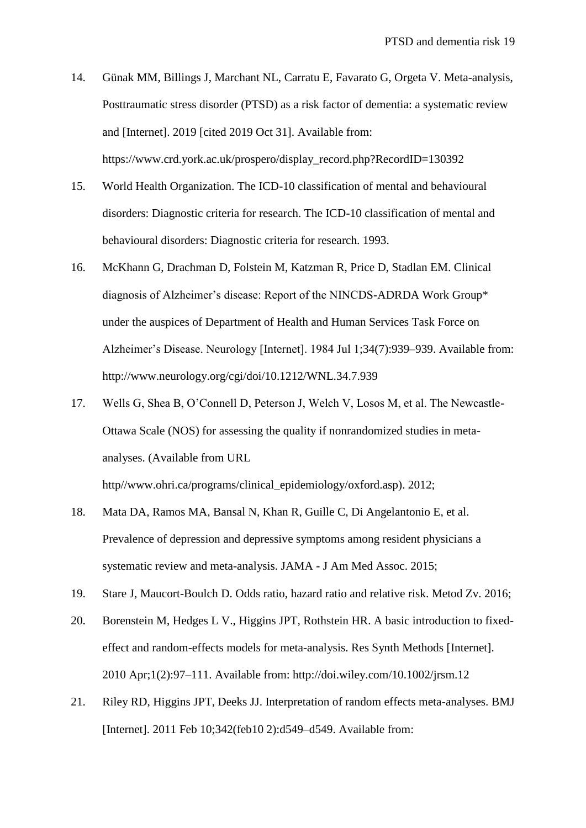- 14. Günak MM, Billings J, Marchant NL, Carratu E, Favarato G, Orgeta V. Meta-analysis, Posttraumatic stress disorder (PTSD) as a risk factor of dementia: a systematic review and [Internet]. 2019 [cited 2019 Oct 31]. Available from: https://www.crd.york.ac.uk/prospero/display\_record.php?RecordID=130392
- 15. World Health Organization. The ICD-10 classification of mental and behavioural disorders: Diagnostic criteria for research. The ICD-10 classification of mental and behavioural disorders: Diagnostic criteria for research. 1993.
- 16. McKhann G, Drachman D, Folstein M, Katzman R, Price D, Stadlan EM. Clinical diagnosis of Alzheimer's disease: Report of the NINCDS-ADRDA Work Group\* under the auspices of Department of Health and Human Services Task Force on Alzheimer's Disease. Neurology [Internet]. 1984 Jul 1;34(7):939–939. Available from: http://www.neurology.org/cgi/doi/10.1212/WNL.34.7.939
- 17. Wells G, Shea B, O'Connell D, Peterson J, Welch V, Losos M, et al. The Newcastle-Ottawa Scale (NOS) for assessing the quality if nonrandomized studies in metaanalyses. (Available from URL

http//www.ohri.ca/programs/clinical\_epidemiology/oxford.asp). 2012;

- 18. Mata DA, Ramos MA, Bansal N, Khan R, Guille C, Di Angelantonio E, et al. Prevalence of depression and depressive symptoms among resident physicians a systematic review and meta-analysis. JAMA - J Am Med Assoc. 2015;
- 19. Stare J, Maucort-Boulch D. Odds ratio, hazard ratio and relative risk. Metod Zv. 2016;
- 20. Borenstein M, Hedges L V., Higgins JPT, Rothstein HR. A basic introduction to fixedeffect and random-effects models for meta-analysis. Res Synth Methods [Internet]. 2010 Apr;1(2):97–111. Available from: http://doi.wiley.com/10.1002/jrsm.12
- 21. Riley RD, Higgins JPT, Deeks JJ. Interpretation of random effects meta-analyses. BMJ [Internet]. 2011 Feb 10;342(feb10 2):d549-d549. Available from: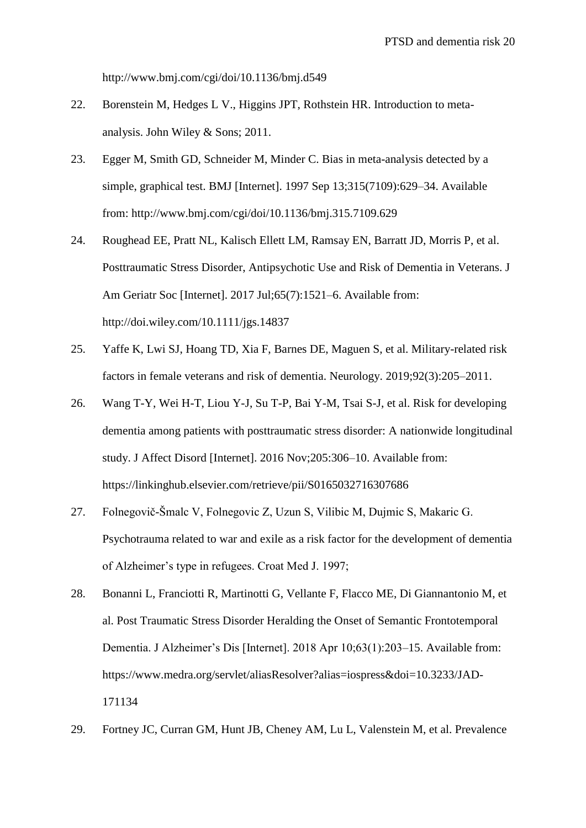http://www.bmj.com/cgi/doi/10.1136/bmj.d549

- 22. Borenstein M, Hedges L V., Higgins JPT, Rothstein HR. Introduction to metaanalysis. John Wiley & Sons; 2011.
- 23. Egger M, Smith GD, Schneider M, Minder C. Bias in meta-analysis detected by a simple, graphical test. BMJ [Internet]. 1997 Sep 13;315(7109):629–34. Available from: http://www.bmj.com/cgi/doi/10.1136/bmj.315.7109.629
- 24. Roughead EE, Pratt NL, Kalisch Ellett LM, Ramsay EN, Barratt JD, Morris P, et al. Posttraumatic Stress Disorder, Antipsychotic Use and Risk of Dementia in Veterans. J Am Geriatr Soc [Internet]. 2017 Jul; 65(7): 1521–6. Available from: http://doi.wiley.com/10.1111/jgs.14837
- 25. Yaffe K, Lwi SJ, Hoang TD, Xia F, Barnes DE, Maguen S, et al. Military-related risk factors in female veterans and risk of dementia. Neurology. 2019;92(3):205–2011.
- 26. Wang T-Y, Wei H-T, Liou Y-J, Su T-P, Bai Y-M, Tsai S-J, et al. Risk for developing dementia among patients with posttraumatic stress disorder: A nationwide longitudinal study. J Affect Disord [Internet]. 2016 Nov;205:306–10. Available from: https://linkinghub.elsevier.com/retrieve/pii/S0165032716307686
- 27. Folnegovič-Šmalc V, Folnegovic Z, Uzun S, Vilibic M, Dujmic S, Makaric G. Psychotrauma related to war and exile as a risk factor for the development of dementia of Alzheimer's type in refugees. Croat Med J. 1997;
- 28. Bonanni L, Franciotti R, Martinotti G, Vellante F, Flacco ME, Di Giannantonio M, et al. Post Traumatic Stress Disorder Heralding the Onset of Semantic Frontotemporal Dementia. J Alzheimer's Dis [Internet]. 2018 Apr 10;63(1):203–15. Available from: https://www.medra.org/servlet/aliasResolver?alias=iospress&doi=10.3233/JAD-171134
- 29. Fortney JC, Curran GM, Hunt JB, Cheney AM, Lu L, Valenstein M, et al. Prevalence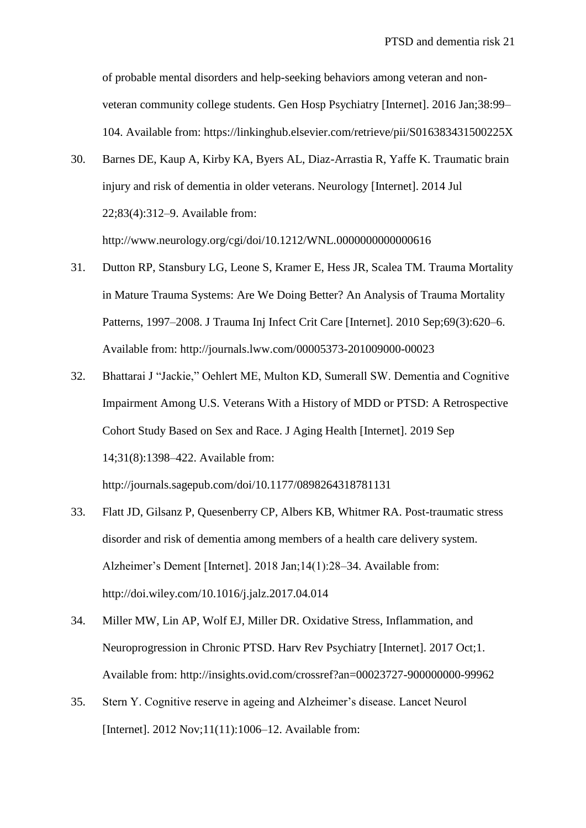of probable mental disorders and help-seeking behaviors among veteran and nonveteran community college students. Gen Hosp Psychiatry [Internet]. 2016 Jan;38:99– 104. Available from: https://linkinghub.elsevier.com/retrieve/pii/S016383431500225X

- 30. Barnes DE, Kaup A, Kirby KA, Byers AL, Diaz-Arrastia R, Yaffe K. Traumatic brain injury and risk of dementia in older veterans. Neurology [Internet]. 2014 Jul 22;83(4):312–9. Available from: http://www.neurology.org/cgi/doi/10.1212/WNL.0000000000000616
- 31. Dutton RP, Stansbury LG, Leone S, Kramer E, Hess JR, Scalea TM. Trauma Mortality in Mature Trauma Systems: Are We Doing Better? An Analysis of Trauma Mortality Patterns, 1997–2008. J Trauma Inj Infect Crit Care [Internet]. 2010 Sep;69(3):620–6. Available from: http://journals.lww.com/00005373-201009000-00023
- 32. Bhattarai J "Jackie," Oehlert ME, Multon KD, Sumerall SW. Dementia and Cognitive Impairment Among U.S. Veterans With a History of MDD or PTSD: A Retrospective Cohort Study Based on Sex and Race. J Aging Health [Internet]. 2019 Sep 14;31(8):1398–422. Available from:

http://journals.sagepub.com/doi/10.1177/0898264318781131

- 33. Flatt JD, Gilsanz P, Quesenberry CP, Albers KB, Whitmer RA. Post-traumatic stress disorder and risk of dementia among members of a health care delivery system. Alzheimer's Dement [Internet]. 2018 Jan;14(1):28–34. Available from: http://doi.wiley.com/10.1016/j.jalz.2017.04.014
- 34. Miller MW, Lin AP, Wolf EJ, Miller DR. Oxidative Stress, Inflammation, and Neuroprogression in Chronic PTSD. Harv Rev Psychiatry [Internet]. 2017 Oct;1. Available from: http://insights.ovid.com/crossref?an=00023727-900000000-99962
- 35. Stern Y. Cognitive reserve in ageing and Alzheimer's disease. Lancet Neurol [Internet]. 2012 Nov;11(11):1006–12. Available from: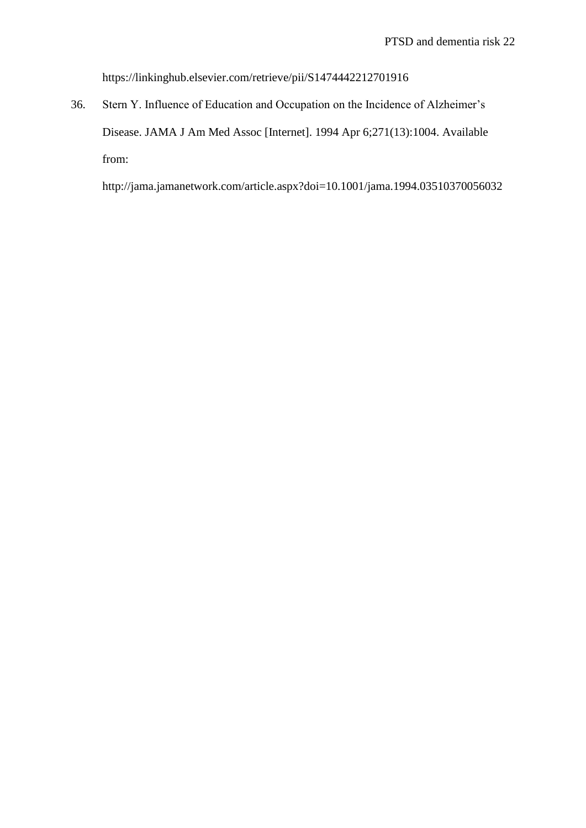https://linkinghub.elsevier.com/retrieve/pii/S1474442212701916

36. Stern Y. Influence of Education and Occupation on the Incidence of Alzheimer's Disease. JAMA J Am Med Assoc [Internet]. 1994 Apr 6;271(13):1004. Available from:

http://jama.jamanetwork.com/article.aspx?doi=10.1001/jama.1994.03510370056032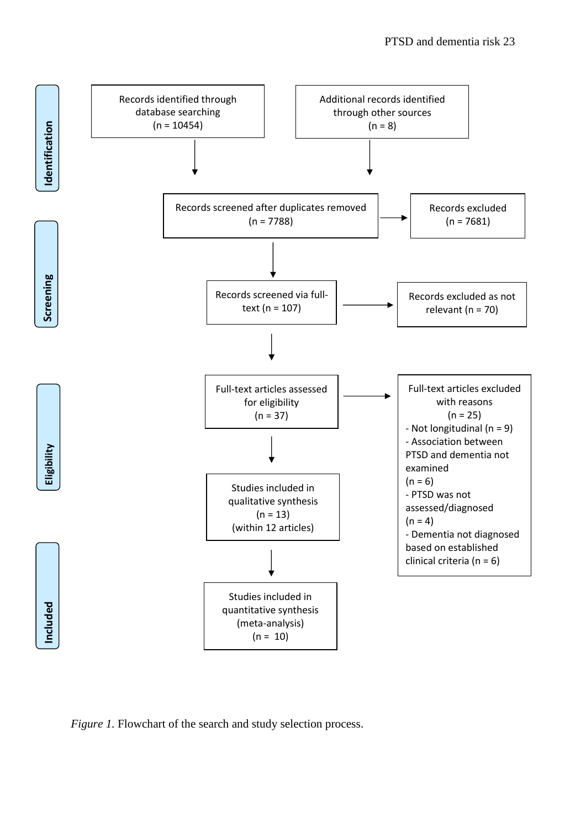

*Figure 1.* Flowchart of the search and study selection process.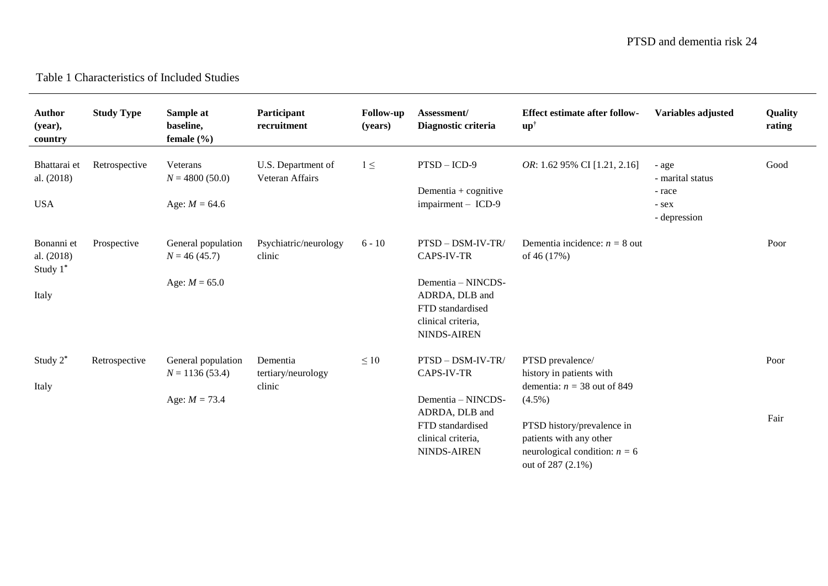# Table 1 Characteristics of Included Studies

| <b>Author</b><br>(year),<br>country           | <b>Study Type</b> | Sample at<br>baseline,<br>female $(\% )$                  | Participant<br>recruitment               | <b>Follow-up</b><br>(years) | Assessment/<br>Diagnostic criteria                                                                                                      | <b>Effect estimate after follow-</b><br>$\mathbf{u}\mathbf{p}^{\dagger}$                                                                                                                                    | Variables adjusted                                           | Quality<br>rating |
|-----------------------------------------------|-------------------|-----------------------------------------------------------|------------------------------------------|-----------------------------|-----------------------------------------------------------------------------------------------------------------------------------------|-------------------------------------------------------------------------------------------------------------------------------------------------------------------------------------------------------------|--------------------------------------------------------------|-------------------|
| Bhattarai et<br>al. (2018)<br><b>USA</b>      | Retrospective     | Veterans<br>$N = 4800(50.0)$<br>Age: $M = 64.6$           | U.S. Department of<br>Veteran Affairs    | $1 \leq$                    | $PTSD - ICD-9$<br>Dementia + cognitive<br>impairment - ICD-9                                                                            | OR: 1.62 95% CI [1.21, 2.16]                                                                                                                                                                                | - age<br>- marital status<br>- race<br>- sex<br>- depression | Good              |
| Bonanni et<br>al. (2018)<br>Study 1*<br>Italy | Prospective       | General population<br>$N = 46(45.7)$<br>Age: $M = 65.0$   | Psychiatric/neurology<br>clinic          | $6 - 10$                    | PTSD - DSM-IV-TR/<br>CAPS-IV-TR<br>Dementia - NINCDS-<br>ADRDA, DLB and<br>FTD standardised<br>clinical criteria,<br><b>NINDS-AIREN</b> | Dementia incidence: $n = 8$ out<br>of 46 (17%)                                                                                                                                                              |                                                              | Poor              |
| Study $2^*$<br>Italy                          | Retrospective     | General population<br>$N = 1136(53.4)$<br>Age: $M = 73.4$ | Dementia<br>tertiary/neurology<br>clinic | $\leq 10$                   | PTSD - DSM-IV-TR/<br>CAPS-IV-TR<br>Dementia - NINCDS-<br>ADRDA, DLB and<br>FTD standardised<br>clinical criteria,<br>NINDS-AIREN        | PTSD prevalence/<br>history in patients with<br>dementia: $n = 38$ out of 849<br>$(4.5\%)$<br>PTSD history/prevalence in<br>patients with any other<br>neurological condition: $n = 6$<br>out of 287 (2.1%) |                                                              | Poor<br>Fair      |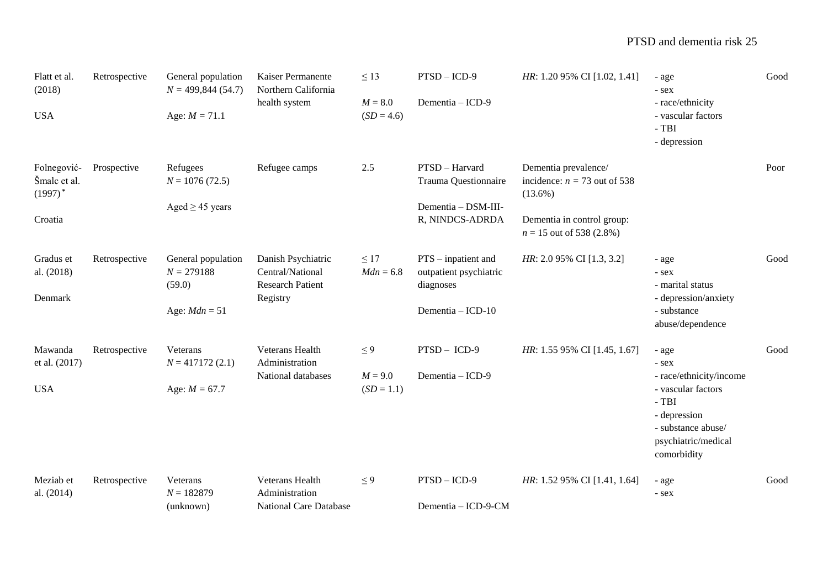| Flatt et al.<br>(2018)                               | Retrospective | General population<br>$N = 499,844(54.7)$                       | Kaiser Permanente<br>Northern California                                      | $\leq 13$                             | $PTSD - ICD-9$                                                                    | HR: 1.20 95% CI [1.02, 1.41]                                                                                                     | - age<br>- sex                                                                                                                                        | Good |
|------------------------------------------------------|---------------|-----------------------------------------------------------------|-------------------------------------------------------------------------------|---------------------------------------|-----------------------------------------------------------------------------------|----------------------------------------------------------------------------------------------------------------------------------|-------------------------------------------------------------------------------------------------------------------------------------------------------|------|
| <b>USA</b>                                           |               | Age: $M = 71.1$                                                 | health system                                                                 | $M = 8.0$<br>$(SD = 4.6)$             | Dementia - ICD-9                                                                  |                                                                                                                                  | - race/ethnicity<br>- vascular factors<br>$-$ TBI<br>- depression                                                                                     |      |
| Folnegović-<br>Šmalc et al.<br>$(1997)^*$<br>Croatia | Prospective   | Refugees<br>$N = 1076(72.5)$<br>Aged $\geq$ 45 years            | Refugee camps                                                                 | 2.5                                   | PTSD - Harvard<br>Trauma Questionnaire<br>Dementia - DSM-III-<br>R, NINDCS-ADRDA  | Dementia prevalence/<br>incidence: $n = 73$ out of 538<br>$(13.6\%)$<br>Dementia in control group:<br>$n = 15$ out of 538 (2.8%) |                                                                                                                                                       | Poor |
| Gradus et<br>al. (2018)<br>Denmark                   | Retrospective | General population<br>$N = 279188$<br>(59.0)<br>Age: $Mdn = 51$ | Danish Psychiatric<br>Central/National<br><b>Research Patient</b><br>Registry | $\leq 17$<br>$Mdn = 6.8$              | $PTS - inpatient$ and<br>outpatient psychiatric<br>diagnoses<br>Dementia - ICD-10 | HR: 2.0 95% CI [1.3, 3.2]                                                                                                        | - age<br>- sex<br>- marital status<br>- depression/anxiety<br>- substance<br>abuse/dependence                                                         | Good |
| Mawanda<br>et al. (2017)<br><b>USA</b>               | Retrospective | Veterans<br>$N = 417172(2.1)$<br>Age: $M = 67.7$                | Veterans Health<br>Administration<br>National databases                       | $\leq 9$<br>$M = 9.0$<br>$(SD = 1.1)$ | $PTSD - ICD-9$<br>Dementia - ICD-9                                                | HR: 1.55 95% CI [1.45, 1.67]                                                                                                     | - age<br>- sex<br>- race/ethnicity/income<br>- vascular factors<br>$-TBI$<br>- depression<br>- substance abuse/<br>psychiatric/medical<br>comorbidity | Good |
| Meziab et<br>al. (2014)                              | Retrospective | Veterans<br>$N = 182879$<br>(unknown)                           | Veterans Health<br>Administration<br><b>National Care Database</b>            | $\leq 9$                              | $PTSD - ICD-9$<br>Dementia - ICD-9-CM                                             | HR: 1.52 95% CI [1.41, 1.64]                                                                                                     | - age<br>- sex                                                                                                                                        | Good |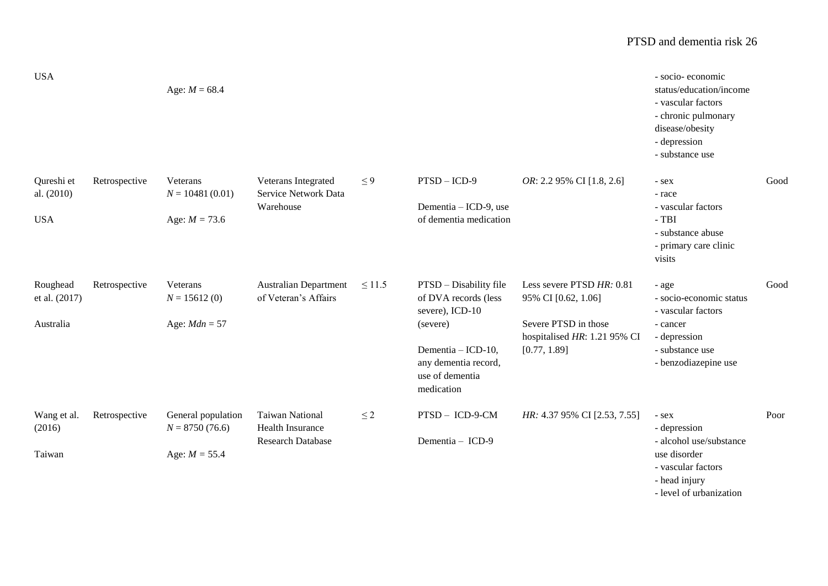# PTSD and dementia risk 26

| <b>USA</b>                             |               | Age: $M = 68.4$                                           |                                                                               |             |                                                                                                                                                              |                                                                                                                          | - socio- economic<br>status/education/income<br>- vascular factors<br>- chronic pulmonary<br>disease/obesity<br>- depression<br>- substance use |      |
|----------------------------------------|---------------|-----------------------------------------------------------|-------------------------------------------------------------------------------|-------------|--------------------------------------------------------------------------------------------------------------------------------------------------------------|--------------------------------------------------------------------------------------------------------------------------|-------------------------------------------------------------------------------------------------------------------------------------------------|------|
| Qureshi et<br>al. (2010)<br><b>USA</b> | Retrospective | Veterans<br>$N = 10481(0.01)$<br>Age: $M = 73.6$          | Veterans Integrated<br>Service Network Data<br>Warehouse                      | $\leq 9$    | $PTSD - ICD-9$<br>Dementia - ICD-9, use<br>of dementia medication                                                                                            | OR: 2.2 95% CI [1.8, 2.6]                                                                                                | - sex<br>- race<br>- vascular factors<br>$-TBI$<br>- substance abuse<br>- primary care clinic<br>visits                                         | Good |
| Roughead<br>et al. (2017)<br>Australia | Retrospective | Veterans<br>$N = 15612(0)$<br>Age: $Mdn = 57$             | <b>Australian Department</b><br>of Veteran's Affairs                          | $\leq 11.5$ | PTSD - Disability file<br>of DVA records (less<br>severe), ICD-10<br>(severe)<br>Dementia - ICD-10,<br>any dementia record,<br>use of dementia<br>medication | Less severe PTSD HR: 0.81<br>95% CI [0.62, 1.06]<br>Severe PTSD in those<br>hospitalised HR: 1.21 95% CI<br>[0.77, 1.89] | - age<br>- socio-economic status<br>- vascular factors<br>- cancer<br>- depression<br>- substance use<br>- benzodiazepine use                   | Good |
| Wang et al.<br>(2016)<br>Taiwan        | Retrospective | General population<br>$N = 8750(76.6)$<br>Age: $M = 55.4$ | <b>Taiwan National</b><br><b>Health Insurance</b><br><b>Research Database</b> | $\leq$ 2    | PTSD - ICD-9-CM<br>Dementia - ICD-9                                                                                                                          | HR: 4.37 95% CI [2.53, 7.55]                                                                                             | - sex<br>- depression<br>- alcohol use/substance<br>use disorder<br>- vascular factors<br>- head injury<br>lavel of urbanization                | Poor |

- level of urbanization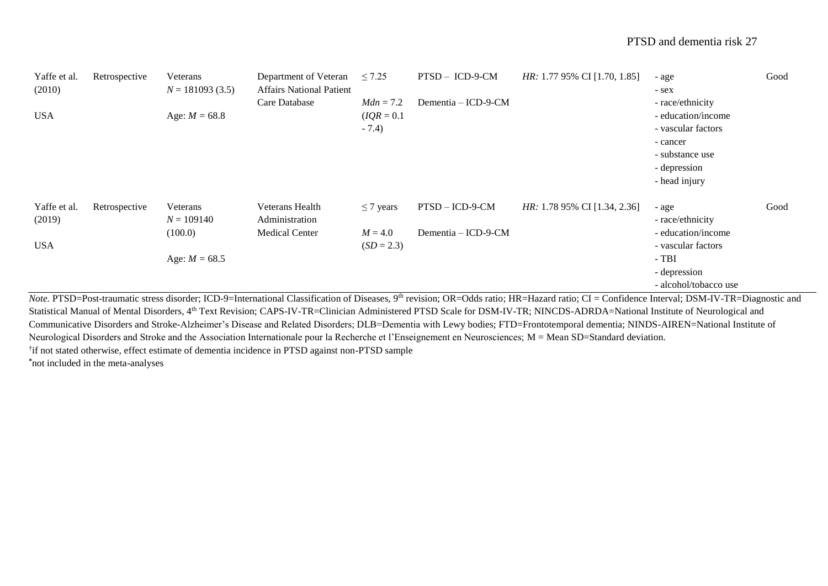| Yaffe et al.<br>(2010) | Retrospective | Veterans<br>$N = 181093(3.5)$ | Department of Veteran<br><b>Affairs National Patient</b> | $\leq 7.25$                           | PTSD - ICD-9-CM     | HR: 1.77 95% CI [1.70, 1.85] | - age<br>- sex                                                                                                               | Good |
|------------------------|---------------|-------------------------------|----------------------------------------------------------|---------------------------------------|---------------------|------------------------------|------------------------------------------------------------------------------------------------------------------------------|------|
| <b>USA</b>             |               | Age: $M = 68.8$               | Care Database                                            | $Mdn = 7.2$<br>$IQR = 0.1$<br>$-7.4)$ | Dementia – ICD-9-CM |                              | - race/ethnicity<br>- education/income<br>- vascular factors<br>- cancer<br>- substance use<br>- depression<br>- head injury |      |
| Yaffe et al.<br>(2019) | Retrospective | Veterans<br>$N = 109140$      | <b>Veterans Health</b><br>Administration                 | $\leq$ 7 years                        | PTSD - ICD-9-CM     | HR: 1.78 95% CI [1.34, 2.36] | - age<br>- race/ethnicity                                                                                                    | Good |
| <b>USA</b>             |               | (100.0)<br>Age: $M = 68.5$    | <b>Medical Center</b>                                    | $M = 4.0$<br>$(SD = 2.3)$             | Dementia - ICD-9-CM |                              | - education/income<br>- vascular factors<br>$-TBI$<br>- depression<br>- alcohol/tobacco use                                  |      |

*Note.* PTSD=Post-traumatic stress disorder; ICD-9=International Classification of Diseases, 9<sup>th</sup> revision; OR=Odds ratio; HR=Hazard ratio; CI = Confidence Interval; DSM-IV-TR=Diagnostic and Statistical Manual of Mental Disorders, 4<sup>th</sup> Text Revision; CAPS-IV-TR=Clinician Administered PTSD Scale for DSM-IV-TR; NINCDS-ADRDA=National Institute of Neurological and Communicative Disorders and Stroke-Alzheimer's Disease and Related Disorders; DLB=Dementia with Lewy bodies; FTD=Frontotemporal dementia; NINDS-AIREN=National Institute of Neurological Disorders and Stroke and the Association Internationale pour la Recherche et l'Enseignement en Neurosciences; M = Mean SD=Standard deviation. † if not stated otherwise, effect estimate of dementia incidence in PTSD against non-PTSD sample **\***not included in the meta-analyses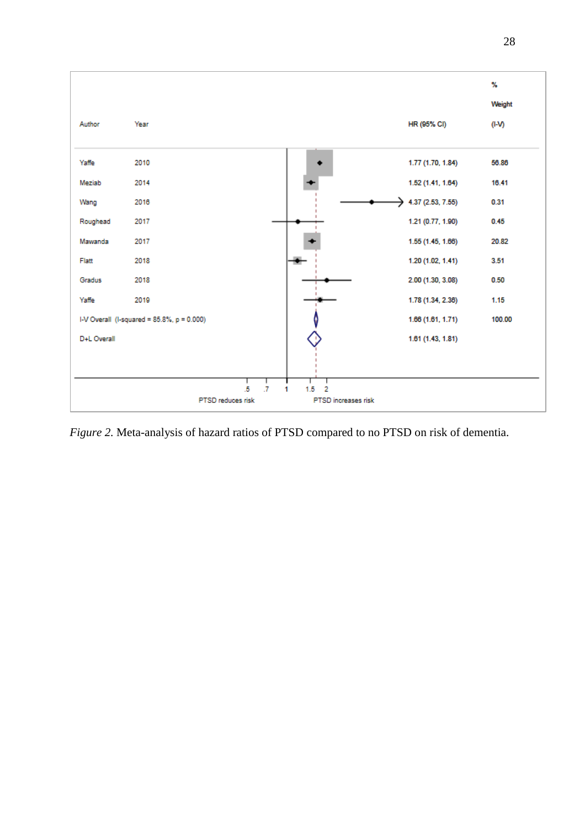

*Figure 2.* Meta-analysis of hazard ratios of PTSD compared to no PTSD on risk of dementia.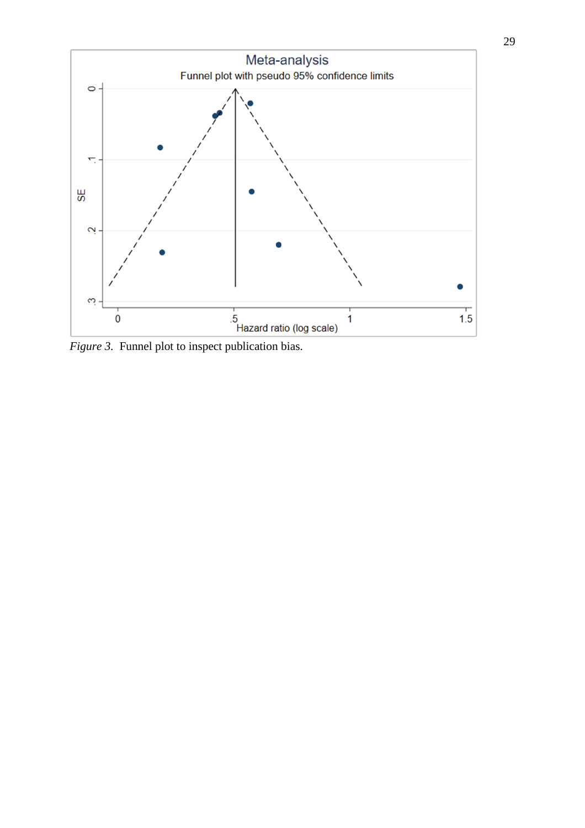

*Figure 3.* Funnel plot to inspect publication bias.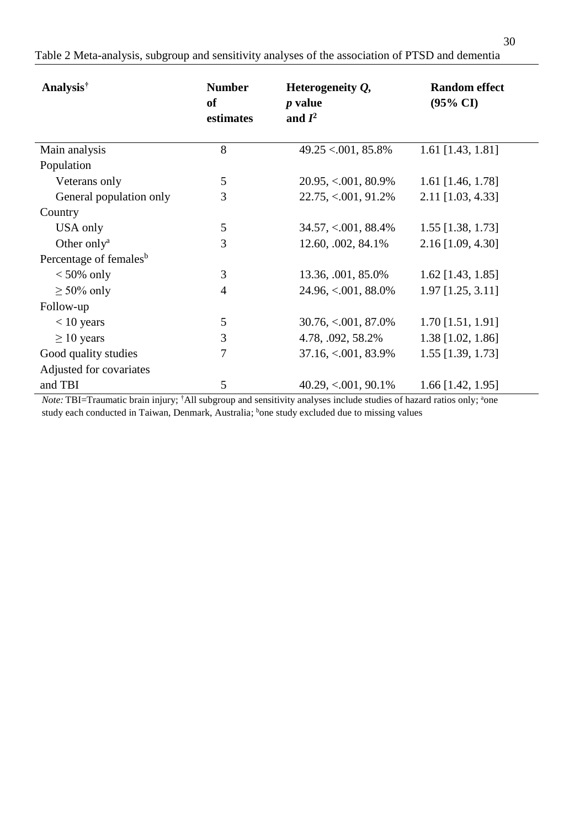Table 2 Meta-analysis, subgroup and sensitivity analyses of the association of PTSD and dementia

| Analysis <sup>†</sup>              | <b>Number</b><br>of<br>estimates | Heterogeneity $Q$ ,<br><i>p</i> value<br>and $I^2$ | <b>Random effect</b><br>$(95\% \text{ CI})$ |
|------------------------------------|----------------------------------|----------------------------------------------------|---------------------------------------------|
| Main analysis                      | 8                                | $49.25 \le 0.001, 85.8\%$                          | 1.61 [1.43, 1.81]                           |
| Population                         |                                  |                                                    |                                             |
| Veterans only                      | 5                                | $20.95, < 0.01, 80.9\%$                            | 1.61 [1.46, 1.78]                           |
| General population only            | 3                                | $22.75, < 0.001, 91.2\%$                           | 2.11 [1.03, 4.33]                           |
| Country                            |                                  |                                                    |                                             |
| USA only                           | 5                                | $34.57, < 0.001, 88.4\%$                           | 1.55 [1.38, 1.73]                           |
| Other only <sup>a</sup>            | 3                                | 12.60, .002, 84.1%                                 | $2.16$ [1.09, 4.30]                         |
| Percentage of females <sup>b</sup> |                                  |                                                    |                                             |
| $< 50\%$ only                      | 3                                | 13.36, .001, 85.0%                                 | $1.62$ [1.43, 1.85]                         |
| $\geq 50\%$ only                   | $\overline{4}$                   | 24.96, <.001, 88.0%                                | $1.97$ [1.25, 3.11]                         |
| Follow-up                          |                                  |                                                    |                                             |
| $< 10$ years                       | 5                                | $30.76, < 0.001, 87.0\%$                           | $1.70$ [1.51, 1.91]                         |
| $\geq 10$ years                    | 3                                | 4.78, .092, 58.2%                                  | 1.38 [1.02, 1.86]                           |
| Good quality studies               | 7                                | $37.16, < 001, 83.9\%$                             | 1.55 [1.39, 1.73]                           |
| Adjusted for covariates            |                                  |                                                    |                                             |
| and TBI                            | 5                                | $40.29, < 0.01, 90.1\%$                            | $1.66$ [1.42, 1.95]                         |

*Note:* TBI=Traumatic brain injury; <sup>†</sup>All subgroup and sensitivity analyses include studies of hazard ratios only; <sup>a</sup>one study each conducted in Taiwan, Denmark, Australia; bone study excluded due to missing values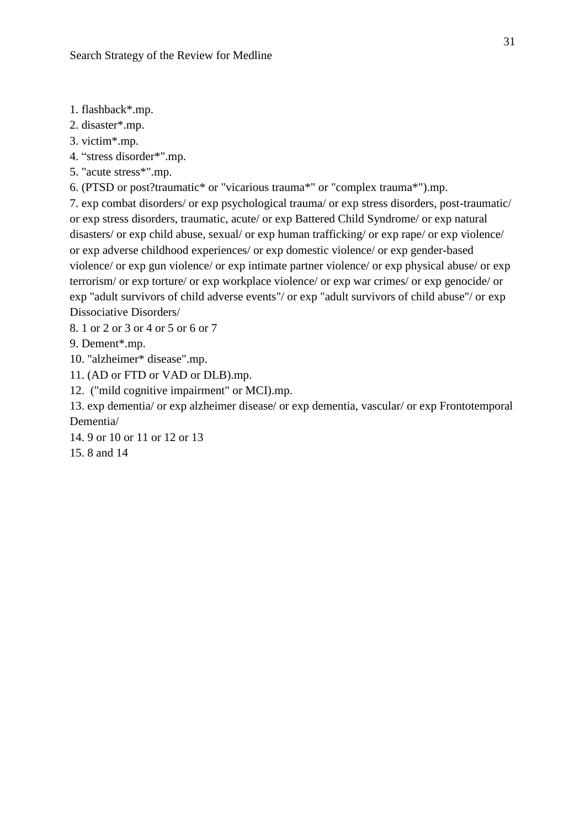- 1. flashback\*.mp.
- 2. disaster\*.mp.
- 3. victim\*.mp.
- 4. "stress disorder\*".mp.
- 5. "acute stress\*".mp.
- 6. (PTSD or post?traumatic\* or "vicarious trauma\*" or "complex trauma\*").mp.

7. exp combat disorders/ or exp psychological trauma/ or exp stress disorders, post-traumatic/ or exp stress disorders, traumatic, acute/ or exp Battered Child Syndrome/ or exp natural disasters/ or exp child abuse, sexual/ or exp human trafficking/ or exp rape/ or exp violence/ or exp adverse childhood experiences/ or exp domestic violence/ or exp gender-based violence/ or exp gun violence/ or exp intimate partner violence/ or exp physical abuse/ or exp terrorism/ or exp torture/ or exp workplace violence/ or exp war crimes/ or exp genocide/ or exp "adult survivors of child adverse events"/ or exp "adult survivors of child abuse"/ or exp Dissociative Disorders/

8. 1 or 2 or 3 or 4 or 5 or 6 or 7

9. Dement\*.mp.

- 10. "alzheimer\* disease".mp.
- 11. (AD or FTD or VAD or DLB).mp.
- 12. ("mild cognitive impairment" or MCI).mp.

13. exp dementia/ or exp alzheimer disease/ or exp dementia, vascular/ or exp Frontotemporal Dementia/

- 14. 9 or 10 or 11 or 12 or 13
- 15. 8 and 14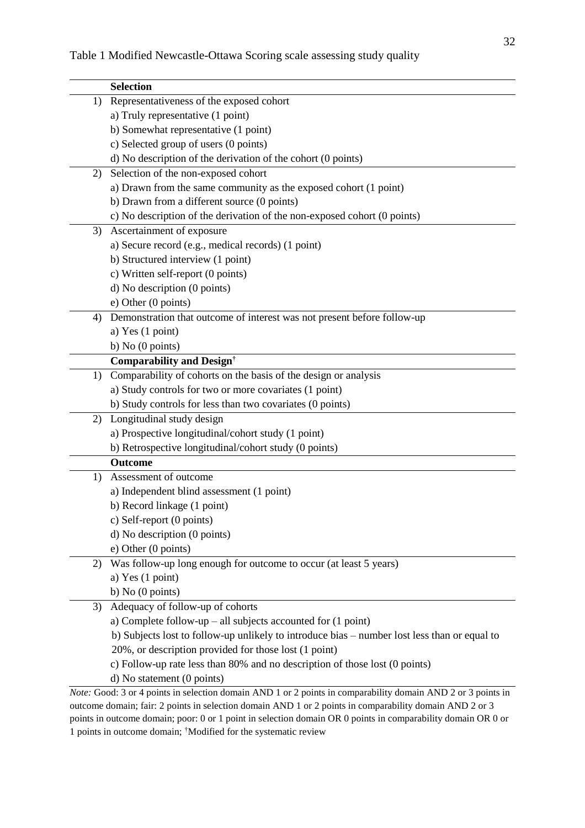|    | <b>Selection</b>                                                                                             |
|----|--------------------------------------------------------------------------------------------------------------|
| 1) | Representativeness of the exposed cohort                                                                     |
|    | a) Truly representative (1 point)                                                                            |
|    | b) Somewhat representative (1 point)                                                                         |
|    | c) Selected group of users (0 points)                                                                        |
|    | d) No description of the derivation of the cohort (0 points)                                                 |
| 2) | Selection of the non-exposed cohort                                                                          |
|    | a) Drawn from the same community as the exposed cohort (1 point)                                             |
|    | b) Drawn from a different source (0 points)                                                                  |
|    | c) No description of the derivation of the non-exposed cohort (0 points)                                     |
| 3) | Ascertainment of exposure                                                                                    |
|    | a) Secure record (e.g., medical records) (1 point)                                                           |
|    | b) Structured interview (1 point)                                                                            |
|    | c) Written self-report (0 points)                                                                            |
|    | d) No description (0 points)                                                                                 |
|    | e) Other (0 points)                                                                                          |
| 4) | Demonstration that outcome of interest was not present before follow-up                                      |
|    | a) Yes $(1 \text{ point})$                                                                                   |
|    | b) No $(0$ points)                                                                                           |
|    | <b>Comparability and Design<sup>†</sup></b>                                                                  |
| 1) | Comparability of cohorts on the basis of the design or analysis                                              |
|    | a) Study controls for two or more covariates (1 point)                                                       |
|    | b) Study controls for less than two covariates (0 points)                                                    |
| 2) | Longitudinal study design                                                                                    |
|    | a) Prospective longitudinal/cohort study (1 point)                                                           |
|    | b) Retrospective longitudinal/cohort study (0 points)                                                        |
|    | <b>Outcome</b>                                                                                               |
| 1) | Assessment of outcome                                                                                        |
|    | a) Independent blind assessment (1 point)                                                                    |
|    | b) Record linkage (1 point)                                                                                  |
|    | c) Self-report (0 points)                                                                                    |
|    | d) No description (0 points)                                                                                 |
|    | e) Other (0 points)                                                                                          |
| 2) | Was follow-up long enough for outcome to occur (at least 5 years)                                            |
|    | a) Yes $(1 \text{ point})$                                                                                   |
|    | b) No $(0 \text{ points})$                                                                                   |
| 3) | Adequacy of follow-up of cohorts                                                                             |
|    | a) Complete follow-up – all subjects accounted for $(1 \text{ point})$                                       |
|    | b) Subjects lost to follow-up unlikely to introduce bias – number lost less than or equal to                 |
|    | 20%, or description provided for those lost (1 point)                                                        |
|    | c) Follow-up rate less than 80% and no description of those lost (0 points)                                  |
|    | d) No statement (0 points)                                                                                   |
|    | Note: Good: 3 or 4 points in selection domain AND 1 or 2 points in comparability domain AND 2 or 3 points in |
|    | outcome domain; fair: 2 points in selection domain AND 1 or 2 points in comparability domain AND 2 or 3      |

points in outcome domain; poor: 0 or 1 point in selection domain OR 0 points in comparability domain OR 0 or 1 points in outcome domain; †Modified for the systematic review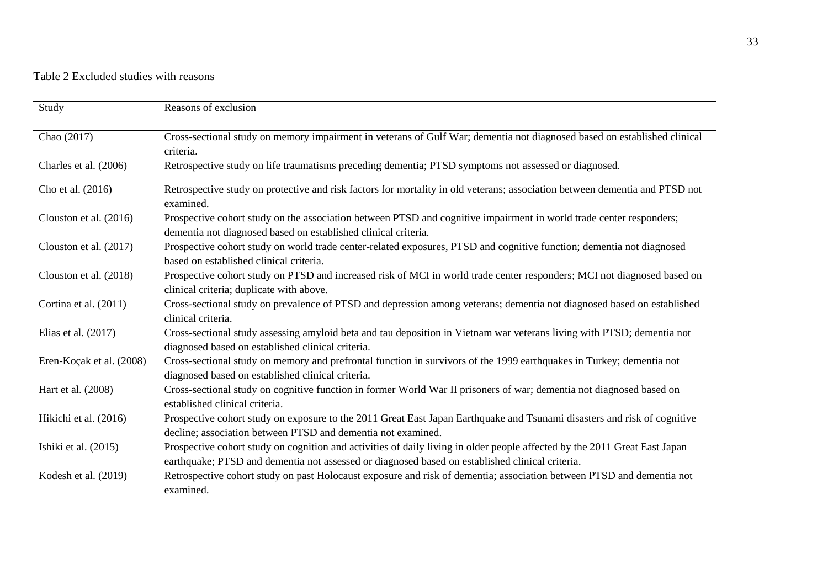# Table 2 Excluded studies with reasons

| Study                    | Reasons of exclusion                                                                                                                                                                                                          |
|--------------------------|-------------------------------------------------------------------------------------------------------------------------------------------------------------------------------------------------------------------------------|
| Chao (2017)              | Cross-sectional study on memory impairment in veterans of Gulf War; dementia not diagnosed based on established clinical<br>criteria.                                                                                         |
| Charles et al. (2006)    | Retrospective study on life traumatisms preceding dementia; PTSD symptoms not assessed or diagnosed.                                                                                                                          |
| Cho et al. (2016)        | Retrospective study on protective and risk factors for mortality in old veterans; association between dementia and PTSD not<br>examined.                                                                                      |
| Clouston et al. (2016)   | Prospective cohort study on the association between PTSD and cognitive impairment in world trade center responders;<br>dementia not diagnosed based on established clinical criteria.                                         |
| Clouston et al. (2017)   | Prospective cohort study on world trade center-related exposures, PTSD and cognitive function; dementia not diagnosed<br>based on established clinical criteria.                                                              |
| Clouston et al. (2018)   | Prospective cohort study on PTSD and increased risk of MCI in world trade center responders; MCI not diagnosed based on<br>clinical criteria; duplicate with above.                                                           |
| Cortina et al. (2011)    | Cross-sectional study on prevalence of PTSD and depression among veterans; dementia not diagnosed based on established<br>clinical criteria.                                                                                  |
| Elias et al. $(2017)$    | Cross-sectional study assessing amyloid beta and tau deposition in Vietnam war veterans living with PTSD; dementia not<br>diagnosed based on established clinical criteria.                                                   |
| Eren-Koçak et al. (2008) | Cross-sectional study on memory and prefrontal function in survivors of the 1999 earthquakes in Turkey; dementia not<br>diagnosed based on established clinical criteria.                                                     |
| Hart et al. (2008)       | Cross-sectional study on cognitive function in former World War II prisoners of war; dementia not diagnosed based on<br>established clinical criteria.                                                                        |
| Hikichi et al. (2016)    | Prospective cohort study on exposure to the 2011 Great East Japan Earthquake and Tsunami disasters and risk of cognitive<br>decline; association between PTSD and dementia not examined.                                      |
| Ishiki et al. (2015)     | Prospective cohort study on cognition and activities of daily living in older people affected by the 2011 Great East Japan<br>earthquake; PTSD and dementia not assessed or diagnosed based on established clinical criteria. |
| Kodesh et al. $(2019)$   | Retrospective cohort study on past Holocaust exposure and risk of dementia; association between PTSD and dementia not<br>examined.                                                                                            |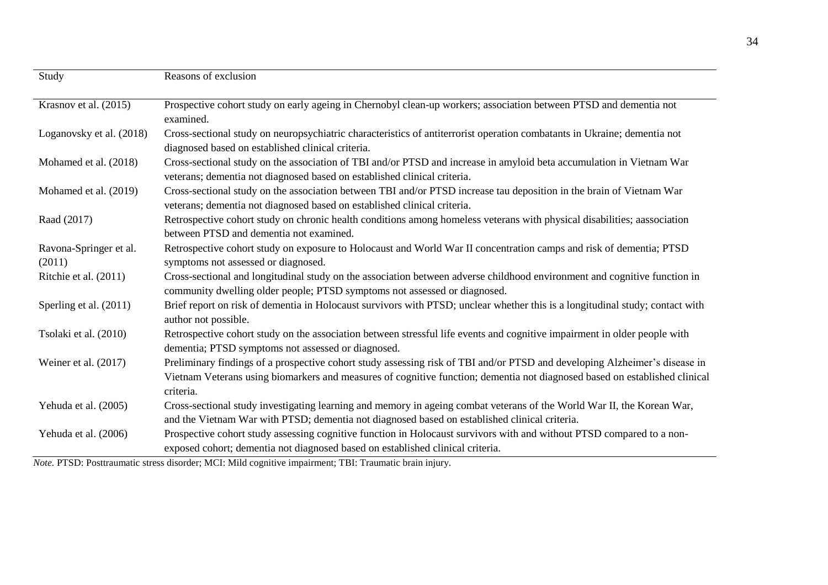| Study                            | Reasons of exclusion                                                                                                                                                                                                                                                  |
|----------------------------------|-----------------------------------------------------------------------------------------------------------------------------------------------------------------------------------------------------------------------------------------------------------------------|
| Krasnov et al. (2015)            | Prospective cohort study on early ageing in Chernobyl clean-up workers; association between PTSD and dementia not<br>examined.                                                                                                                                        |
| Loganovsky et al. (2018)         | Cross-sectional study on neuropsychiatric characteristics of antiterrorist operation combatants in Ukraine; dementia not<br>diagnosed based on established clinical criteria.                                                                                         |
| Mohamed et al. (2018)            | Cross-sectional study on the association of TBI and/or PTSD and increase in amyloid beta accumulation in Vietnam War<br>veterans; dementia not diagnosed based on established clinical criteria.                                                                      |
| Mohamed et al. (2019)            | Cross-sectional study on the association between TBI and/or PTSD increase tau deposition in the brain of Vietnam War<br>veterans; dementia not diagnosed based on established clinical criteria.                                                                      |
| Raad (2017)                      | Retrospective cohort study on chronic health conditions among homeless veterans with physical disabilities; aassociation<br>between PTSD and dementia not examined.                                                                                                   |
| Ravona-Springer et al.<br>(2011) | Retrospective cohort study on exposure to Holocaust and World War II concentration camps and risk of dementia; PTSD<br>symptoms not assessed or diagnosed.                                                                                                            |
| Ritchie et al. (2011)            | Cross-sectional and longitudinal study on the association between adverse childhood environment and cognitive function in<br>community dwelling older people; PTSD symptoms not assessed or diagnosed.                                                                |
| Sperling et al. (2011)           | Brief report on risk of dementia in Holocaust survivors with PTSD; unclear whether this is a longitudinal study; contact with<br>author not possible.                                                                                                                 |
| Tsolaki et al. (2010)            | Retrospective cohort study on the association between stressful life events and cognitive impairment in older people with<br>dementia; PTSD symptoms not assessed or diagnosed.                                                                                       |
| Weiner et al. $(2017)$           | Preliminary findings of a prospective cohort study assessing risk of TBI and/or PTSD and developing Alzheimer's disease in<br>Vietnam Veterans using biomarkers and measures of cognitive function; dementia not diagnosed based on established clinical<br>criteria. |
| Yehuda et al. (2005)             | Cross-sectional study investigating learning and memory in ageing combat veterans of the World War II, the Korean War,<br>and the Vietnam War with PTSD; dementia not diagnosed based on established clinical criteria.                                               |
| Yehuda et al. (2006)             | Prospective cohort study assessing cognitive function in Holocaust survivors with and without PTSD compared to a non-<br>exposed cohort; dementia not diagnosed based on established clinical criteria.                                                               |

*Note.* PTSD: Posttraumatic stress disorder; MCI: Mild cognitive impairment; TBI: Traumatic brain injury.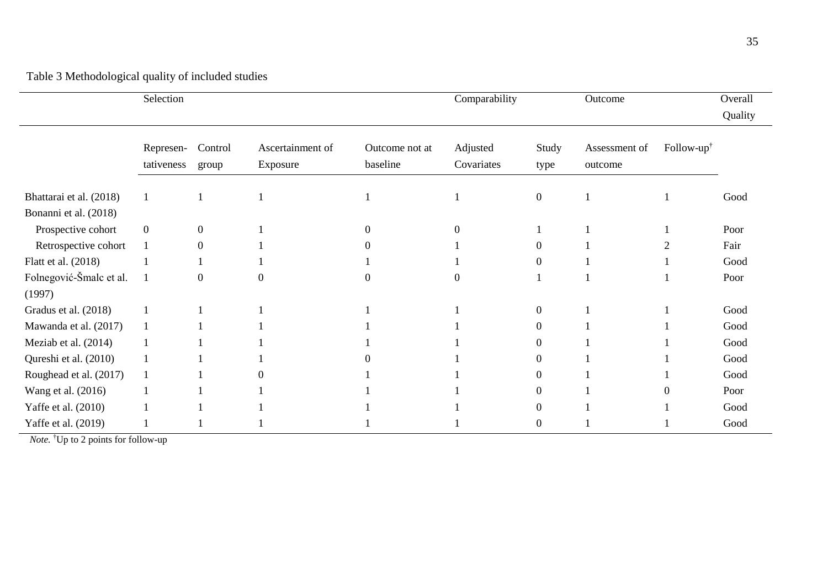|                                   | Selection               |                  |                              |                            | Comparability          |                | Outcome                  |                        | Overall<br>Quality |
|-----------------------------------|-------------------------|------------------|------------------------------|----------------------------|------------------------|----------------|--------------------------|------------------------|--------------------|
|                                   | Represen-<br>tativeness | Control<br>group | Ascertainment of<br>Exposure | Outcome not at<br>baseline | Adjusted<br>Covariates | Study<br>type  | Assessment of<br>outcome | Follow- $up^{\dagger}$ |                    |
| Bhattarai et al. (2018)           | 1                       |                  |                              |                            |                        | $\overline{0}$ |                          |                        | Good               |
| Bonanni et al. (2018)             |                         |                  |                              |                            |                        |                |                          |                        |                    |
| Prospective cohort                | $\boldsymbol{0}$        | $\overline{0}$   |                              |                            | $\Omega$               |                |                          |                        | Poor               |
| Retrospective cohort              | $\mathbf{1}$            | $\Omega$         |                              |                            |                        | $\theta$       |                          |                        | Fair               |
| Flatt et al. (2018)               |                         |                  |                              |                            |                        | 0              |                          |                        | Good               |
| Folnegović-Šmalc et al.<br>(1997) | 1                       | $\Omega$         |                              | $\left( \right)$           | $\Omega$               |                |                          |                        | Poor               |
| Gradus et al. (2018)              |                         |                  |                              |                            |                        | $\overline{0}$ |                          |                        | Good               |
| Mawanda et al. (2017)             | $\mathbf{1}$            |                  |                              |                            |                        | 0              |                          |                        | Good               |
| Meziab et al. (2014)              |                         |                  |                              |                            |                        | 0              |                          |                        | Good               |
| Qureshi et al. (2010)             | 1                       |                  |                              |                            |                        | 0              |                          |                        | Good               |
| Roughead et al. (2017)            |                         |                  |                              |                            |                        | $\Omega$       |                          |                        | Good               |
| Wang et al. (2016)                |                         |                  |                              |                            |                        | 0              |                          |                        | Poor               |
| Yaffe et al. (2010)               |                         |                  |                              |                            |                        | 0              |                          |                        | Good               |
| Yaffe et al. (2019)               |                         |                  |                              |                            |                        | 0              |                          |                        | Good               |

 *Note.* †Up to 2 points for follow-up